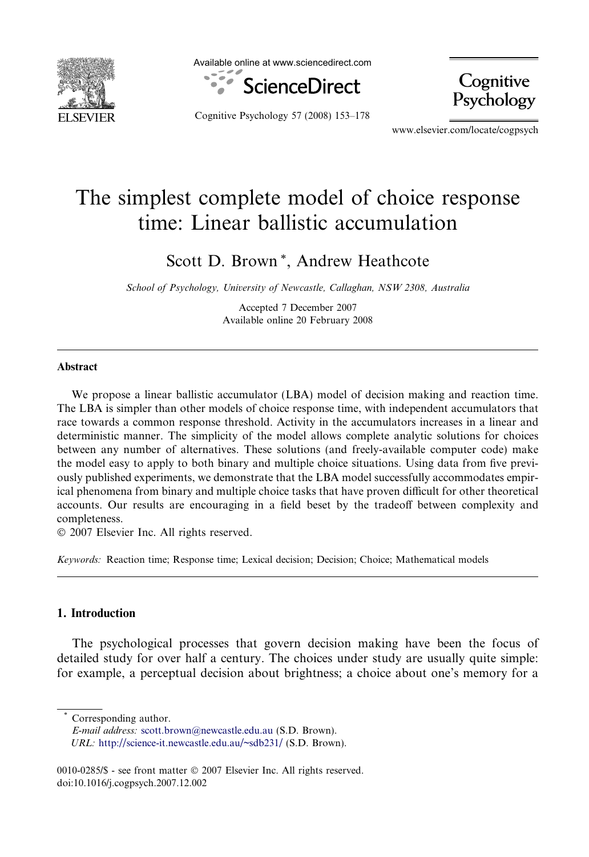

Available online at www.sciencedirect.com



Cognitive Psychology 57 (2008) 153–178

Cognitive Psychology

www.elsevier.com/locate/cogpsych

# The simplest complete model of choice response time: Linear ballistic accumulation

Scott D. Brown \*, Andrew Heathcote

School of Psychology, University of Newcastle, Callaghan, NSW 2308, Australia

Accepted 7 December 2007 Available online 20 February 2008

#### Abstract

We propose a linear ballistic accumulator (LBA) model of decision making and reaction time. The LBA is simpler than other models of choice response time, with independent accumulators that race towards a common response threshold. Activity in the accumulators increases in a linear and deterministic manner. The simplicity of the model allows complete analytic solutions for choices between any number of alternatives. These solutions (and freely-available computer code) make the model easy to apply to both binary and multiple choice situations. Using data from five previously published experiments, we demonstrate that the LBA model successfully accommodates empirical phenomena from binary and multiple choice tasks that have proven difficult for other theoretical accounts. Our results are encouraging in a field beset by the tradeoff between complexity and completeness.

© 2007 Elsevier Inc. All rights reserved.

Keywords: Reaction time; Response time; Lexical decision; Decision; Choice; Mathematical models

# 1. Introduction

The psychological processes that govern decision making have been the focus of detailed study for over half a century. The choices under study are usually quite simple: for example, a perceptual decision about brightness; a choice about one's memory for a

Corresponding author. E-mail address: [scott.brown@newcastle.edu.au](mailto:scott.brown@newcastle.edu.au) (S.D. Brown). URL: <http://science-it.newcastle.edu.au/~sdb231/> (S.D. Brown).

0010-0285/\$ - see front matter © 2007 Elsevier Inc. All rights reserved. doi:10.1016/j.cogpsych.2007.12.002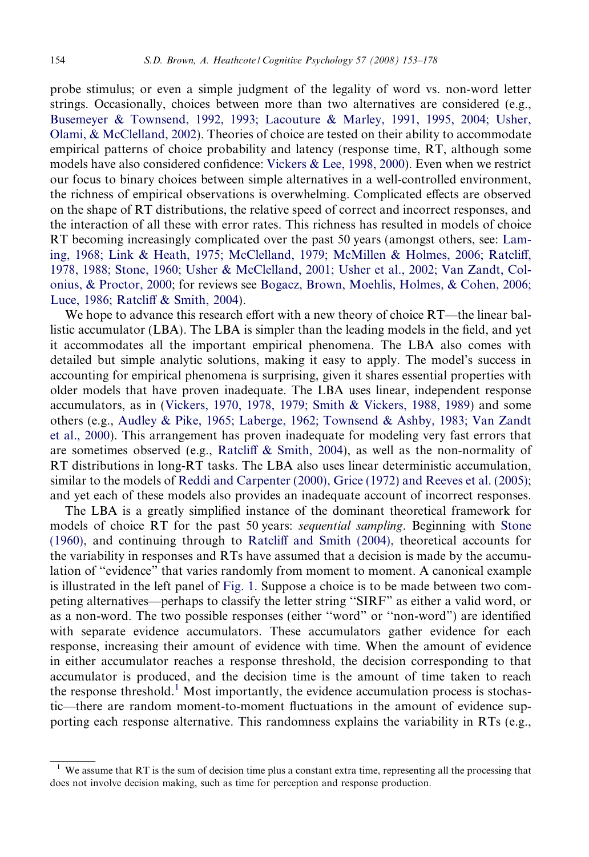probe stimulus; or even a simple judgment of the legality of word vs. non-word letter strings. Occasionally, choices between more than two alternatives are considered (e.g., [Busemeyer & Townsend, 1992, 1993; Lacouture & Marley, 1991, 1995, 2004; Usher,](#page-23-0) [Olami, & McClelland, 2002](#page-23-0)). Theories of choice are tested on their ability to accommodate empirical patterns of choice probability and latency (response time, RT, although some models have also considered confidence: [Vickers & Lee, 1998, 2000\)](#page-25-0). Even when we restrict our focus to binary choices between simple alternatives in a well-controlled environment, the richness of empirical observations is overwhelming. Complicated effects are observed on the shape of RT distributions, the relative speed of correct and incorrect responses, and the interaction of all these with error rates. This richness has resulted in models of choice RT becoming increasingly complicated over the past 50 years (amongst others, see: [Lam](#page-24-0)[ing, 1968; Link & Heath, 1975; McClelland, 1979; McMillen & Holmes, 2006; Ratcliff,](#page-24-0) [1978, 1988; Stone, 1960; Usher & McClelland, 2001; Usher et al., 2002; Van Zandt, Col](#page-24-0)[onius, & Proctor, 2000;](#page-24-0) for reviews see [Bogacz, Brown, Moehlis, Holmes, & Cohen, 2006;](#page-23-0) [Luce, 1986; Ratcliff & Smith, 2004\)](#page-23-0).

We hope to advance this research effort with a new theory of choice RT—the linear ballistic accumulator (LBA). The LBA is simpler than the leading models in the field, and yet it accommodates all the important empirical phenomena. The LBA also comes with detailed but simple analytic solutions, making it easy to apply. The model's success in accounting for empirical phenomena is surprising, given it shares essential properties with older models that have proven inadequate. The LBA uses linear, independent response accumulators, as in [\(Vickers, 1970, 1978, 1979; Smith & Vickers, 1988, 1989\)](#page-25-0) and some others (e.g., [Audley & Pike, 1965; Laberge, 1962; Townsend & Ashby, 1983; Van Zandt](#page-23-0) [et al., 2000](#page-23-0)). This arrangement has proven inadequate for modeling very fast errors that are sometimes observed (e.g., Ratcliff  $\&$  Smith, 2004), as well as the non-normality of RT distributions in long-RT tasks. The LBA also uses linear deterministic accumulation, similar to the models of [Reddi and Carpenter \(2000\), Grice \(1972\) and Reeves et al. \(2005\);](#page-24-0) and yet each of these models also provides an inadequate account of incorrect responses.

The LBA is a greatly simplified instance of the dominant theoretical framework for models of choice RT for the past 50 years: *sequential sampling*. Beginning with [Stone](#page-25-0) [\(1960\)](#page-25-0), and continuing through to [Ratcliff and Smith \(2004\)](#page-24-0), theoretical accounts for the variability in responses and RTs have assumed that a decision is made by the accumulation of ''evidence" that varies randomly from moment to moment. A canonical example is illustrated in the left panel of [Fig. 1.](#page-2-0) Suppose a choice is to be made between two competing alternatives—perhaps to classify the letter string ''SIRF" as either a valid word, or as a non-word. The two possible responses (either ''word" or ''non-word") are identified with separate evidence accumulators. These accumulators gather evidence for each response, increasing their amount of evidence with time. When the amount of evidence in either accumulator reaches a response threshold, the decision corresponding to that accumulator is produced, and the decision time is the amount of time taken to reach the response threshold.<sup>1</sup> Most importantly, the evidence accumulation process is stochastic—there are random moment-to-moment fluctuations in the amount of evidence supporting each response alternative. This randomness explains the variability in RTs (e.g.,

<sup>1</sup> We assume that RT is the sum of decision time plus a constant extra time, representing all the processing that does not involve decision making, such as time for perception and response production.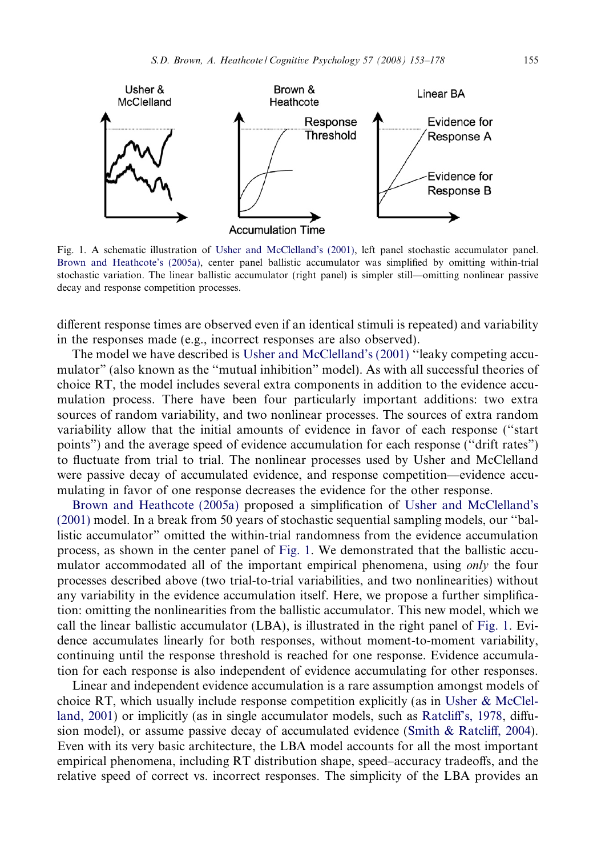<span id="page-2-0"></span>

Fig. 1. A schematic illustration of [Usher and McClelland's \(2001\),](#page-25-0) left panel stochastic accumulator panel. [Brown and Heathcote's \(2005a\)](#page-23-0), center panel ballistic accumulator was simplified by omitting within-trial stochastic variation. The linear ballistic accumulator (right panel) is simpler still—omitting nonlinear passive decay and response competition processes.

different response times are observed even if an identical stimuli is repeated) and variability in the responses made (e.g., incorrect responses are also observed).

The model we have described is [Usher and McClelland's \(2001\)](#page-25-0) ''leaky competing accumulator" (also known as the ''mutual inhibition" model). As with all successful theories of choice RT, the model includes several extra components in addition to the evidence accumulation process. There have been four particularly important additions: two extra sources of random variability, and two nonlinear processes. The sources of extra random variability allow that the initial amounts of evidence in favor of each response (''start points") and the average speed of evidence accumulation for each response (''drift rates") to fluctuate from trial to trial. The nonlinear processes used by Usher and McClelland were passive decay of accumulated evidence, and response competition—evidence accumulating in favor of one response decreases the evidence for the other response.

[Brown and Heathcote \(2005a\)](#page-23-0) proposed a simplification of [Usher and McClelland's](#page-25-0) [\(2001\)](#page-25-0) model. In a break from 50 years of stochastic sequential sampling models, our ''ballistic accumulator" omitted the within-trial randomness from the evidence accumulation process, as shown in the center panel of Fig. 1. We demonstrated that the ballistic accumulator accommodated all of the important empirical phenomena, using *only* the four processes described above (two trial-to-trial variabilities, and two nonlinearities) without any variability in the evidence accumulation itself. Here, we propose a further simplification: omitting the nonlinearities from the ballistic accumulator. This new model, which we call the linear ballistic accumulator (LBA), is illustrated in the right panel of Fig. 1. Evidence accumulates linearly for both responses, without moment-to-moment variability, continuing until the response threshold is reached for one response. Evidence accumulation for each response is also independent of evidence accumulating for other responses.

Linear and independent evidence accumulation is a rare assumption amongst models of choice RT, which usually include response competition explicitly (as in [Usher & McClel](#page-25-0)[land, 2001](#page-25-0)) or implicitly (as in single accumulator models, such as [Ratcliff's, 1978](#page-24-0), diffusion model), or assume passive decay of accumulated evidence [\(Smith & Ratcliff, 2004\)](#page-24-0). Even with its very basic architecture, the LBA model accounts for all the most important empirical phenomena, including RT distribution shape, speed–accuracy tradeoffs, and the relative speed of correct vs. incorrect responses. The simplicity of the LBA provides an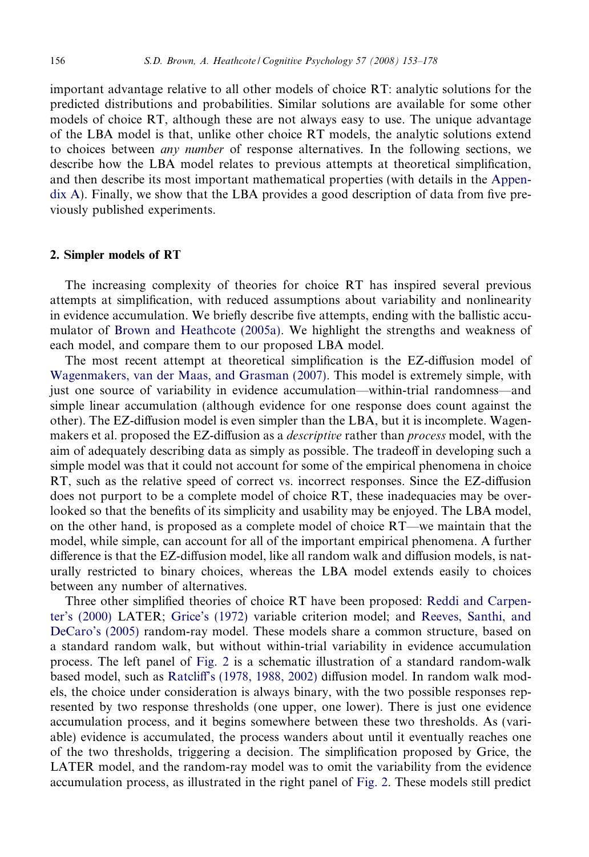important advantage relative to all other models of choice RT: analytic solutions for the predicted distributions and probabilities. Similar solutions are available for some other models of choice RT, although these are not always easy to use. The unique advantage of the LBA model is that, unlike other choice RT models, the analytic solutions extend to choices between any number of response alternatives. In the following sections, we describe how the LBA model relates to previous attempts at theoretical simplification, and then describe its most important mathematical properties (with details in the Appendix A). Finally, we show that the LBA provides a good description of data from five previously published experiments.

## 2. Simpler models of RT

The increasing complexity of theories for choice RT has inspired several previous attempts at simplification, with reduced assumptions about variability and nonlinearity in evidence accumulation. We briefly describe five attempts, ending with the ballistic accumulator of [Brown and Heathcote \(2005a\)](#page-23-0). We highlight the strengths and weakness of each model, and compare them to our proposed LBA model.

The most recent attempt at theoretical simplification is the EZ-diffusion model of [Wagenmakers, van der Maas, and Grasman \(2007\)](#page-25-0). This model is extremely simple, with just one source of variability in evidence accumulation—within-trial randomness—and simple linear accumulation (although evidence for one response does count against the other). The EZ-diffusion model is even simpler than the LBA, but it is incomplete. Wagenmakers et al. proposed the EZ-diffusion as a *descriptive* rather than *process* model, with the aim of adequately describing data as simply as possible. The tradeoff in developing such a simple model was that it could not account for some of the empirical phenomena in choice RT, such as the relative speed of correct vs. incorrect responses. Since the EZ-diffusion does not purport to be a complete model of choice RT, these inadequacies may be overlooked so that the benefits of its simplicity and usability may be enjoyed. The LBA model, on the other hand, is proposed as a complete model of choice RT—we maintain that the model, while simple, can account for all of the important empirical phenomena. A further difference is that the EZ-diffusion model, like all random walk and diffusion models, is naturally restricted to binary choices, whereas the LBA model extends easily to choices between any number of alternatives.

Three other simplified theories of choice RT have been proposed: [Reddi and Carpen](#page-24-0)[ter's \(2000\)](#page-24-0) LATER; [Grice's \(1972\)](#page-23-0) variable criterion model; and [Reeves, Santhi, and](#page-24-0) [DeCaro's \(2005\)](#page-24-0) random-ray model. These models share a common structure, based on a standard random walk, but without within-trial variability in evidence accumulation process. The left panel of [Fig. 2](#page-4-0) is a schematic illustration of a standard random-walk based model, such as [Ratcliff's \(1978, 1988, 2002\)](#page-24-0) diffusion model. In random walk models, the choice under consideration is always binary, with the two possible responses represented by two response thresholds (one upper, one lower). There is just one evidence accumulation process, and it begins somewhere between these two thresholds. As (variable) evidence is accumulated, the process wanders about until it eventually reaches one of the two thresholds, triggering a decision. The simplification proposed by Grice, the LATER model, and the random-ray model was to omit the variability from the evidence accumulation process, as illustrated in the right panel of [Fig. 2](#page-4-0). These models still predict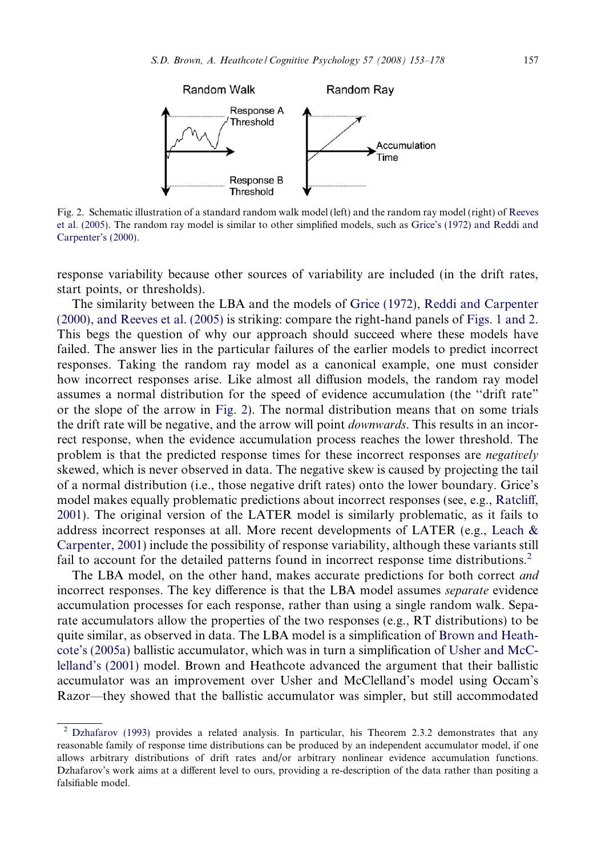<span id="page-4-0"></span>

Fig. 2. Schematic illustration of a standard random walk model (left) and the random ray model (right) of [Reeves](#page-24-0) [et al. \(2005\).](#page-24-0) The random ray model is similar to other simplified models, such as [Grice's \(1972\) and Reddi and](#page-23-0) [Carpenter's \(2000\).](#page-23-0)

response variability because other sources of variability are included (in the drift rates, start points, or thresholds).

The similarity between the LBA and the models of [Grice \(1972\), Reddi and Carpenter](#page-23-0) [\(2000\), and Reeves et al. \(2005\)](#page-23-0) is striking: compare the right-hand panels of [Figs. 1 and 2](#page-2-0). This begs the question of why our approach should succeed where these models have failed. The answer lies in the particular failures of the earlier models to predict incorrect responses. Taking the random ray model as a canonical example, one must consider how incorrect responses arise. Like almost all diffusion models, the random ray model assumes a normal distribution for the speed of evidence accumulation (the ''drift rate" or the slope of the arrow in Fig. 2). The normal distribution means that on some trials the drift rate will be negative, and the arrow will point *downwards*. This results in an incorrect response, when the evidence accumulation process reaches the lower threshold. The problem is that the predicted response times for these incorrect responses are negatively skewed, which is never observed in data. The negative skew is caused by projecting the tail of a normal distribution (i.e., those negative drift rates) onto the lower boundary. Grice's model makes equally problematic predictions about incorrect responses (see, e.g., [Ratcliff,](#page-24-0) [2001](#page-24-0)). The original version of the LATER model is similarly problematic, as it fails to address incorrect responses at all. More recent developments of LATER (e.g., [Leach &](#page-24-0) [Carpenter, 2001](#page-24-0)) include the possibility of response variability, although these variants still fail to account for the detailed patterns found in incorrect response time distributions.<sup>2</sup>

The LBA model, on the other hand, makes accurate predictions for both correct and incorrect responses. The key difference is that the LBA model assumes *separate* evidence accumulation processes for each response, rather than using a single random walk. Separate accumulators allow the properties of the two responses (e.g., RT distributions) to be quite similar, as observed in data. The LBA model is a simplification of [Brown and Heath](#page-23-0)[cote's \(2005a\)](#page-23-0) ballistic accumulator, which was in turn a simplification of [Usher and McC](#page-25-0)[lelland's \(2001\)](#page-25-0) model. Brown and Heathcote advanced the argument that their ballistic accumulator was an improvement over Usher and McClelland's model using Occam's Razor—they showed that the ballistic accumulator was simpler, but still accommodated

<sup>2</sup> [Dzhafarov \(1993\)](#page-23-0) provides a related analysis. In particular, his Theorem 2.3.2 demonstrates that any reasonable family of response time distributions can be produced by an independent accumulator model, if one allows arbitrary distributions of drift rates and/or arbitrary nonlinear evidence accumulation functions. Dzhafarov's work aims at a different level to ours, providing a re-description of the data rather than positing a falsifiable model.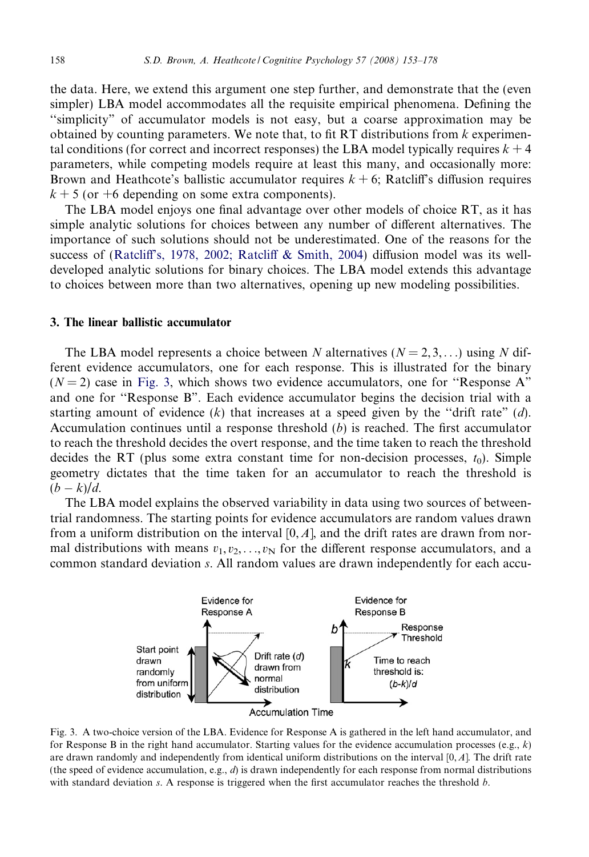the data. Here, we extend this argument one step further, and demonstrate that the (even simpler) LBA model accommodates all the requisite empirical phenomena. Defining the ''simplicity" of accumulator models is not easy, but a coarse approximation may be obtained by counting parameters. We note that, to fit RT distributions from  $k$  experimental conditions (for correct and incorrect responses) the LBA model typically requires  $k + 4$ parameters, while competing models require at least this many, and occasionally more: Brown and Heathcote's ballistic accumulator requires  $k + 6$ ; Ratcliff's diffusion requires  $k + 5$  (or  $+6$  depending on some extra components).

The LBA model enjoys one final advantage over other models of choice RT, as it has simple analytic solutions for choices between any number of different alternatives. The importance of such solutions should not be underestimated. One of the reasons for the success of ([Ratcliff's, 1978, 2002; Ratcliff & Smith, 2004\)](#page-24-0) diffusion model was its welldeveloped analytic solutions for binary choices. The LBA model extends this advantage to choices between more than two alternatives, opening up new modeling possibilities.

#### 3. The linear ballistic accumulator

The LBA model represents a choice between N alternatives  $(N = 2, 3, \ldots)$  using N different evidence accumulators, one for each response. This is illustrated for the binary  $(N = 2)$  case in Fig. 3, which shows two evidence accumulators, one for "Response A" and one for ''Response B". Each evidence accumulator begins the decision trial with a starting amount of evidence  $(k)$  that increases at a speed given by the "drift rate"  $(d)$ . Accumulation continues until a response threshold  $(b)$  is reached. The first accumulator to reach the threshold decides the overt response, and the time taken to reach the threshold decides the RT (plus some extra constant time for non-decision processes,  $t_0$ ). Simple geometry dictates that the time taken for an accumulator to reach the threshold is  $(b-k)/d$ .

The LBA model explains the observed variability in data using two sources of betweentrial randomness. The starting points for evidence accumulators are random values drawn from a uniform distribution on the interval  $[0, A]$ , and the drift rates are drawn from normal distributions with means  $v_1, v_2, \ldots, v_N$  for the different response accumulators, and a common standard deviation s. All random values are drawn independently for each accu-



Fig. 3. A two-choice version of the LBA. Evidence for Response A is gathered in the left hand accumulator, and for Response B in the right hand accumulator. Starting values for the evidence accumulation processes (e.g.,  $k$ ) are drawn randomly and independently from identical uniform distributions on the interval  $[0, A]$ . The drift rate (the speed of evidence accumulation, e.g., d) is drawn independently for each response from normal distributions with standard deviation  $s$ . A response is triggered when the first accumulator reaches the threshold  $b$ .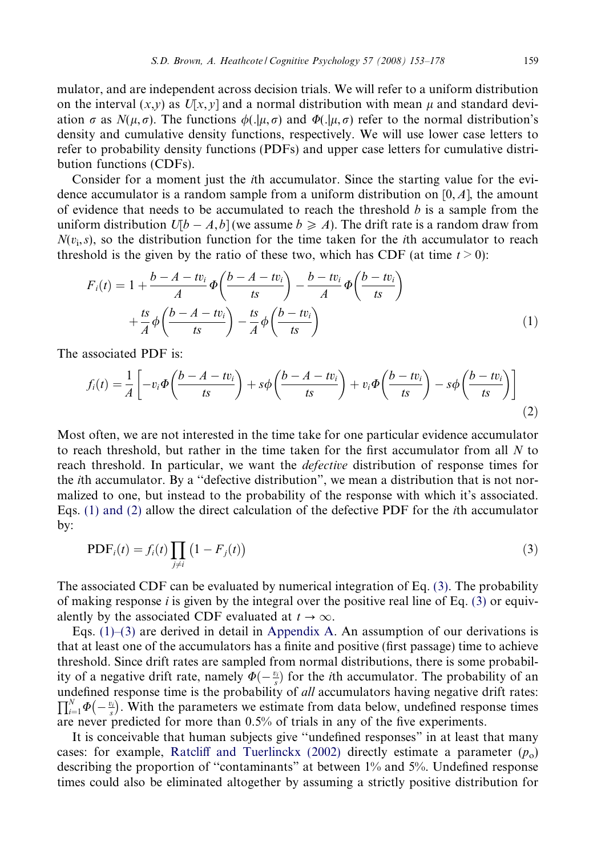<span id="page-6-0"></span>mulator, and are independent across decision trials. We will refer to a uniform distribution on the interval  $(x,y)$  as  $U[x,y]$  and a normal distribution with mean  $\mu$  and standard deviation  $\sigma$  as  $N(\mu,\sigma)$ . The functions  $\phi(.|\mu,\sigma)$  and  $\Phi(.|\mu,\sigma)$  refer to the normal distribution's density and cumulative density functions, respectively. We will use lower case letters to refer to probability density functions (PDFs) and upper case letters for cumulative distribution functions (CDFs).

Consider for a moment just the ith accumulator. Since the starting value for the evidence accumulator is a random sample from a uniform distribution on  $[0, A]$ , the amount of evidence that needs to be accumulated to reach the threshold  $b$  is a sample from the uniform distribution  $U[b - A,b]$  (we assume  $b \geq A$ ). The drift rate is a random draw from  $N(v_i, s)$ , so the distribution function for the time taken for the *i*th accumulator to reach threshold is the given by the ratio of these two, which has CDF (at time  $t > 0$ ):

$$
F_i(t) = 1 + \frac{b - A - tv_i}{A} \Phi\left(\frac{b - A - tv_i}{ts}\right) - \frac{b - tv_i}{A} \Phi\left(\frac{b - tv_i}{ts}\right)
$$

$$
+ \frac{ts}{A} \phi\left(\frac{b - A - tv_i}{ts}\right) - \frac{ts}{A} \phi\left(\frac{b - tv_i}{ts}\right)
$$
(1)

The associated PDF is:

$$
f_i(t) = \frac{1}{A} \left[ -v_i \Phi \left( \frac{b - A - tv_i}{ts} \right) + s \phi \left( \frac{b - A - tv_i}{ts} \right) + v_i \Phi \left( \frac{b - tv_i}{ts} \right) - s \phi \left( \frac{b - tv_i}{ts} \right) \right]
$$
(2)

Most often, we are not interested in the time take for one particular evidence accumulator to reach threshold, but rather in the time taken for the first accumulator from all  $N$  to reach threshold. In particular, we want the defective distribution of response times for the ith accumulator. By a ''defective distribution", we mean a distribution that is not normalized to one, but instead to the probability of the response with which it's associated. Eqs. (1) and (2) allow the direct calculation of the defective PDF for the ith accumulator by:

$$
\text{PDF}_{i}(t) = f_{i}(t) \prod_{j \neq i} \left( 1 - F_{j}(t) \right) \tag{3}
$$

The associated CDF can be evaluated by numerical integration of Eq. (3). The probability of making response i is given by the integral over the positive real line of Eq. (3) or equivalently by the associated CDF evaluated at  $t \to \infty$ .

Eqs.  $(1)$ – $(3)$  are derived in detail in Appendix A. An assumption of our derivations is that at least one of the accumulators has a finite and positive (first passage) time to achieve threshold. Since drift rates are sampled from normal distributions, there is some probability of a negative drift rate, namely  $\Phi(-\frac{v_i}{s})$  for the *i*th accumulator. The probability of an undefined response time is the probability of *all* accumulators having negative drift rates:<br> $\Pi^N$ ,  $\Phi(-v)$ , With the parameters we estimate from data below, undefined response times  $\prod_{i=1}^{N} \Phi(-\frac{v_i}{s})$ . With the parameters we estimate from data below, undefined response times are never predicted for more than 0.5% of trials in any of the five experiments.

It is conceivable that human subjects give ''undefined responses" in at least that many cases: for example, [Ratcliff and Tuerlinckx \(2002\)](#page-24-0) directly estimate a parameter  $(p_0)$ describing the proportion of ''contaminants" at between 1% and 5%. Undefined response times could also be eliminated altogether by assuming a strictly positive distribution for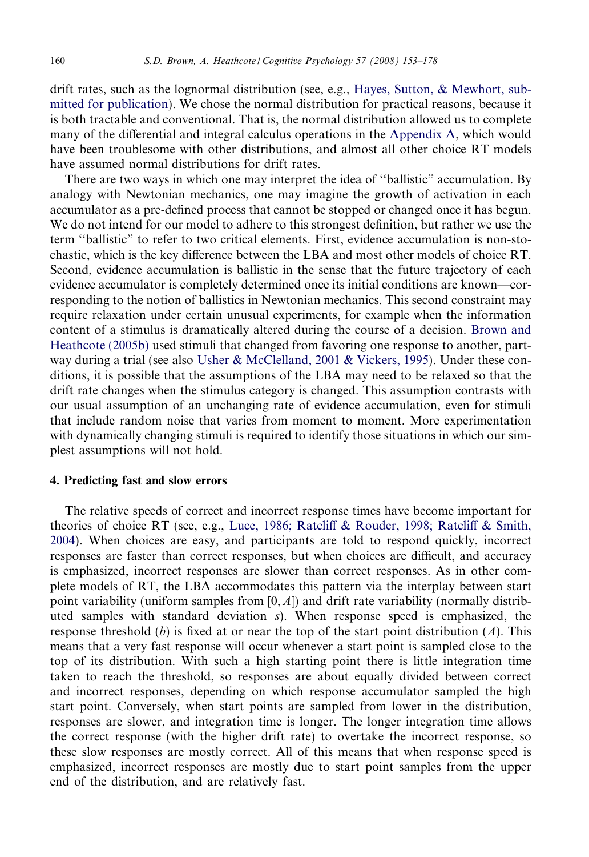drift rates, such as the lognormal distribution (see, e.g., [Hayes, Sutton, & Mewhort, sub](#page-23-0)[mitted for publication\)](#page-23-0). We chose the normal distribution for practical reasons, because it is both tractable and conventional. That is, the normal distribution allowed us to complete many of the differential and integral calculus operations in the Appendix A, which would have been troublesome with other distributions, and almost all other choice RT models have assumed normal distributions for drift rates.

There are two ways in which one may interpret the idea of ''ballistic" accumulation. By analogy with Newtonian mechanics, one may imagine the growth of activation in each accumulator as a pre-defined process that cannot be stopped or changed once it has begun. We do not intend for our model to adhere to this strongest definition, but rather we use the term ''ballistic" to refer to two critical elements. First, evidence accumulation is non-stochastic, which is the key difference between the LBA and most other models of choice RT. Second, evidence accumulation is ballistic in the sense that the future trajectory of each evidence accumulator is completely determined once its initial conditions are known—corresponding to the notion of ballistics in Newtonian mechanics. This second constraint may require relaxation under certain unusual experiments, for example when the information content of a stimulus is dramatically altered during the course of a decision. [Brown and](#page-23-0) [Heathcote \(2005b\)](#page-23-0) used stimuli that changed from favoring one response to another, part-way during a trial (see also [Usher & McClelland, 2001 & Vickers, 1995\)](#page-25-0). Under these conditions, it is possible that the assumptions of the LBA may need to be relaxed so that the drift rate changes when the stimulus category is changed. This assumption contrasts with our usual assumption of an unchanging rate of evidence accumulation, even for stimuli that include random noise that varies from moment to moment. More experimentation with dynamically changing stimuli is required to identify those situations in which our simplest assumptions will not hold.

## 4. Predicting fast and slow errors

The relative speeds of correct and incorrect response times have become important for theories of choice RT (see, e.g., [Luce, 1986; Ratcliff & Rouder, 1998; Ratcliff & Smith,](#page-24-0) [2004\)](#page-24-0). When choices are easy, and participants are told to respond quickly, incorrect responses are faster than correct responses, but when choices are difficult, and accuracy is emphasized, incorrect responses are slower than correct responses. As in other complete models of RT, the LBA accommodates this pattern via the interplay between start point variability (uniform samples from  $[0, A]$ ) and drift rate variability (normally distributed samples with standard deviation  $s$ ). When response speed is emphasized, the response threshold (b) is fixed at or near the top of the start point distribution  $(A)$ . This means that a very fast response will occur whenever a start point is sampled close to the top of its distribution. With such a high starting point there is little integration time taken to reach the threshold, so responses are about equally divided between correct and incorrect responses, depending on which response accumulator sampled the high start point. Conversely, when start points are sampled from lower in the distribution, responses are slower, and integration time is longer. The longer integration time allows the correct response (with the higher drift rate) to overtake the incorrect response, so these slow responses are mostly correct. All of this means that when response speed is emphasized, incorrect responses are mostly due to start point samples from the upper end of the distribution, and are relatively fast.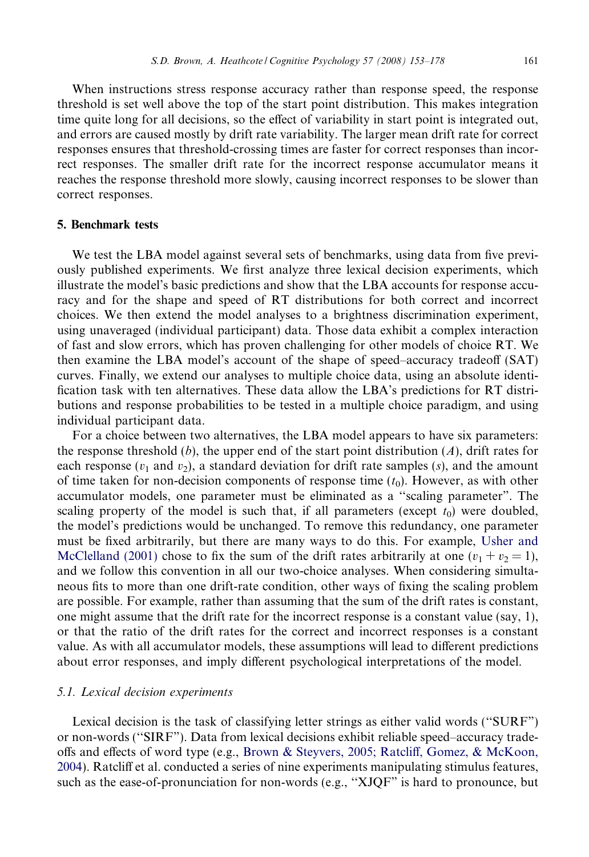When instructions stress response accuracy rather than response speed, the response threshold is set well above the top of the start point distribution. This makes integration time quite long for all decisions, so the effect of variability in start point is integrated out, and errors are caused mostly by drift rate variability. The larger mean drift rate for correct responses ensures that threshold-crossing times are faster for correct responses than incorrect responses. The smaller drift rate for the incorrect response accumulator means it reaches the response threshold more slowly, causing incorrect responses to be slower than correct responses.

## 5. Benchmark tests

We test the LBA model against several sets of benchmarks, using data from five previously published experiments. We first analyze three lexical decision experiments, which illustrate the model's basic predictions and show that the LBA accounts for response accuracy and for the shape and speed of RT distributions for both correct and incorrect choices. We then extend the model analyses to a brightness discrimination experiment, using unaveraged (individual participant) data. Those data exhibit a complex interaction of fast and slow errors, which has proven challenging for other models of choice RT. We then examine the LBA model's account of the shape of speed–accuracy tradeoff (SAT) curves. Finally, we extend our analyses to multiple choice data, using an absolute identification task with ten alternatives. These data allow the LBA's predictions for RT distributions and response probabilities to be tested in a multiple choice paradigm, and using individual participant data.

For a choice between two alternatives, the LBA model appears to have six parameters: the response threshold  $(b)$ , the upper end of the start point distribution  $(A)$ , drift rates for each response ( $v_1$  and  $v_2$ ), a standard deviation for drift rate samples (s), and the amount of time taken for non-decision components of response time  $(t_0)$ . However, as with other accumulator models, one parameter must be eliminated as a ''scaling parameter". The scaling property of the model is such that, if all parameters (except  $t_0$ ) were doubled, the model's predictions would be unchanged. To remove this redundancy, one parameter must be fixed arbitrarily, but there are many ways to do this. For example, [Usher and](#page-25-0) [McClelland \(2001\)](#page-25-0) chose to fix the sum of the drift rates arbitrarily at one  $(v_1 + v_2 = 1)$ , and we follow this convention in all our two-choice analyses. When considering simultaneous fits to more than one drift-rate condition, other ways of fixing the scaling problem are possible. For example, rather than assuming that the sum of the drift rates is constant, one might assume that the drift rate for the incorrect response is a constant value (say, 1), or that the ratio of the drift rates for the correct and incorrect responses is a constant value. As with all accumulator models, these assumptions will lead to different predictions about error responses, and imply different psychological interpretations of the model.

## 5.1. Lexical decision experiments

Lexical decision is the task of classifying letter strings as either valid words (''SURF") or non-words (''SIRF"). Data from lexical decisions exhibit reliable speed–accuracy tradeoffs and effects of word type (e.g., [Brown & Steyvers, 2005; Ratcliff, Gomez, & McKoon,](#page-23-0) [2004](#page-23-0)). Ratcliff et al. conducted a series of nine experiments manipulating stimulus features, such as the ease-of-pronunciation for non-words (e.g., ''XJQF" is hard to pronounce, but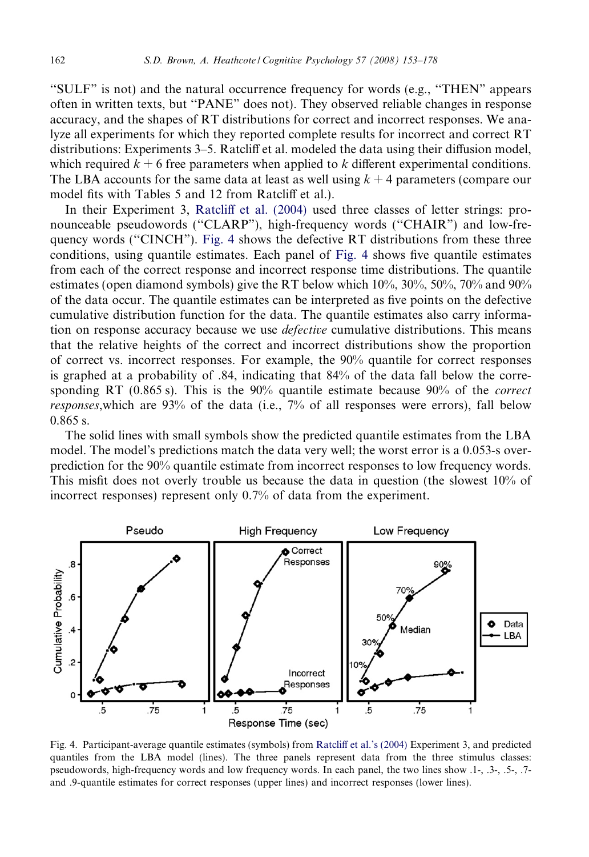<span id="page-9-0"></span>"SULF" is not) and the natural occurrence frequency for words  $(e.g., "THEN" appears$ often in written texts, but ''PANE" does not). They observed reliable changes in response accuracy, and the shapes of RT distributions for correct and incorrect responses. We analyze all experiments for which they reported complete results for incorrect and correct RT distributions: Experiments 3–5. Ratcliff et al. modeled the data using their diffusion model, which required  $k + 6$  free parameters when applied to k different experimental conditions. The LBA accounts for the same data at least as well using  $k + 4$  parameters (compare our model fits with Tables 5 and 12 from Ratcliff et al.).

In their Experiment 3, [Ratcliff et al. \(2004\)](#page-24-0) used three classes of letter strings: pronounceable pseudowords (''CLARP"), high-frequency words (''CHAIR") and low-frequency words (''CINCH"). Fig. 4 shows the defective RT distributions from these three conditions, using quantile estimates. Each panel of Fig. 4 shows five quantile estimates from each of the correct response and incorrect response time distributions. The quantile estimates (open diamond symbols) give the RT below which 10%, 30%, 50%, 70% and 90% of the data occur. The quantile estimates can be interpreted as five points on the defective cumulative distribution function for the data. The quantile estimates also carry information on response accuracy because we use *defective* cumulative distributions. This means that the relative heights of the correct and incorrect distributions show the proportion of correct vs. incorrect responses. For example, the 90% quantile for correct responses is graphed at a probability of .84, indicating that 84% of the data fall below the corresponding RT (0.865 s). This is the  $90\%$  quantile estimate because  $90\%$  of the *correct* responses,which are 93% of the data (i.e., 7% of all responses were errors), fall below 0.865 s.

The solid lines with small symbols show the predicted quantile estimates from the LBA model. The model's predictions match the data very well; the worst error is a 0.053-s overprediction for the 90% quantile estimate from incorrect responses to low frequency words. This misfit does not overly trouble us because the data in question (the slowest 10% of incorrect responses) represent only 0.7% of data from the experiment.



Fig. 4. Participant-average quantile estimates (symbols) from [Ratcliff et al.'s \(2004\)](#page-24-0) Experiment 3, and predicted quantiles from the LBA model (lines). The three panels represent data from the three stimulus classes: pseudowords, high-frequency words and low frequency words. In each panel, the two lines show .1-, .3-, .5-, .7 and .9-quantile estimates for correct responses (upper lines) and incorrect responses (lower lines).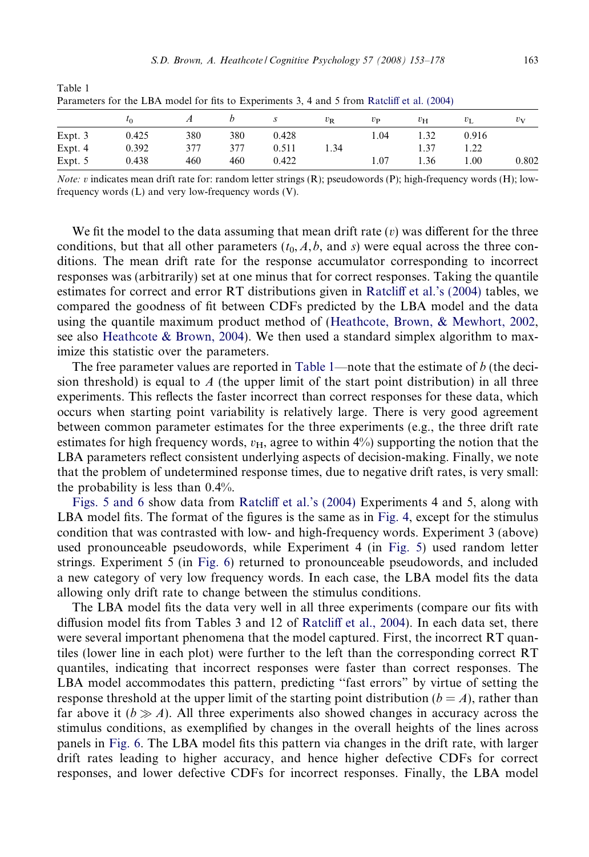|         | $\iota_0$ |     |     |       | $v_{\rm R}$ | $v_{\rm P}$ | $v_{\rm H}$ | $v_{\rm L}$ | v     |
|---------|-----------|-----|-----|-------|-------------|-------------|-------------|-------------|-------|
| Expt. 3 | 0.425     | 380 | 380 | 0.428 |             | 1.04        | 1.32        | 0.916       |       |
| Expt. 4 | 0.392     | 377 | 377 | 0.511 | 1.34        |             | 1.37        | 1.22        |       |
| Expt. 5 | 0.438     | 460 | 460 | 0.422 |             | 1.07        | 1.36        | 00.1        | 0.802 |

Table 1 Parameters for the LBA model for fits to Experiments 3, 4 and 5 from [Ratcliff et al. \(2004\)](#page-24-0)

*Note: v* indicates mean drift rate for: random letter strings  $(R)$ ; pseudowords  $(P)$ ; high-frequency words  $(H)$ ; lowfrequency words (L) and very low-frequency words (V).

We fit the model to the data assuming that mean drift rate  $(v)$  was different for the three conditions, but that all other parameters  $(t_0, A, b,$  and s) were equal across the three conditions. The mean drift rate for the response accumulator corresponding to incorrect responses was (arbitrarily) set at one minus that for correct responses. Taking the quantile estimates for correct and error RT distributions given in [Ratcliff et al.'s \(2004\)](#page-24-0) tables, we compared the goodness of fit between CDFs predicted by the LBA model and the data using the quantile maximum product method of [\(Heathcote, Brown, & Mewhort, 2002](#page-23-0), see also [Heathcote & Brown, 2004\)](#page-23-0). We then used a standard simplex algorithm to maximize this statistic over the parameters.

The free parameter values are reported in Table 1—note that the estimate of  $b$  (the decision threshold) is equal to  $\Lambda$  (the upper limit of the start point distribution) in all three experiments. This reflects the faster incorrect than correct responses for these data, which occurs when starting point variability is relatively large. There is very good agreement between common parameter estimates for the three experiments (e.g., the three drift rate estimates for high frequency words,  $v_H$ , agree to within 4%) supporting the notion that the LBA parameters reflect consistent underlying aspects of decision-making. Finally, we note that the problem of undetermined response times, due to negative drift rates, is very small: the probability is less than 0.4%.

[Figs. 5 and 6](#page-11-0) show data from [Ratcliff et al.'s \(2004\)](#page-24-0) Experiments 4 and 5, along with LBA model fits. The format of the figures is the same as in [Fig. 4](#page-9-0), except for the stimulus condition that was contrasted with low- and high-frequency words. Experiment 3 (above) used pronounceable pseudowords, while Experiment 4 (in [Fig. 5](#page-11-0)) used random letter strings. Experiment 5 (in [Fig. 6\)](#page-11-0) returned to pronounceable pseudowords, and included a new category of very low frequency words. In each case, the LBA model fits the data allowing only drift rate to change between the stimulus conditions.

The LBA model fits the data very well in all three experiments (compare our fits with diffusion model fits from Tables 3 and 12 of [Ratcliff et al., 2004](#page-24-0)). In each data set, there were several important phenomena that the model captured. First, the incorrect RT quantiles (lower line in each plot) were further to the left than the corresponding correct RT quantiles, indicating that incorrect responses were faster than correct responses. The LBA model accommodates this pattern, predicting "fast errors" by virtue of setting the response threshold at the upper limit of the starting point distribution  $(b = A)$ , rather than far above it  $(b \gg A)$ . All three experiments also showed changes in accuracy across the stimulus conditions, as exemplified by changes in the overall heights of the lines across panels in [Fig. 6.](#page-11-0) The LBA model fits this pattern via changes in the drift rate, with larger drift rates leading to higher accuracy, and hence higher defective CDFs for correct responses, and lower defective CDFs for incorrect responses. Finally, the LBA model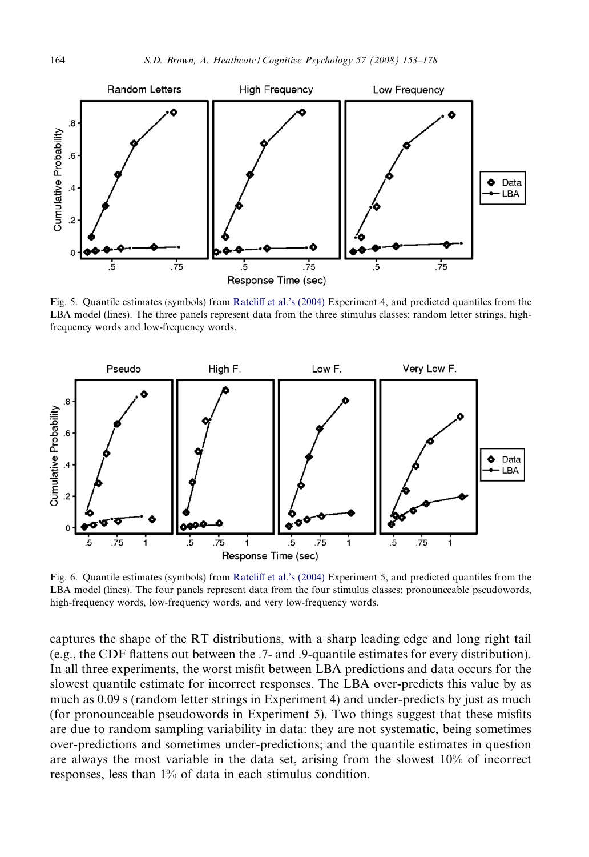<span id="page-11-0"></span>

Fig. 5. Quantile estimates (symbols) from [Ratcliff et al.'s \(2004\)](#page-24-0) Experiment 4, and predicted quantiles from the LBA model (lines). The three panels represent data from the three stimulus classes: random letter strings, highfrequency words and low-frequency words.



Fig. 6. Quantile estimates (symbols) from [Ratcliff et al.'s \(2004\)](#page-24-0) Experiment 5, and predicted quantiles from the LBA model (lines). The four panels represent data from the four stimulus classes: pronounceable pseudowords, high-frequency words, low-frequency words, and very low-frequency words.

captures the shape of the RT distributions, with a sharp leading edge and long right tail (e.g., the CDF flattens out between the .7- and .9-quantile estimates for every distribution). In all three experiments, the worst misfit between LBA predictions and data occurs for the slowest quantile estimate for incorrect responses. The LBA over-predicts this value by as much as 0.09 s (random letter strings in Experiment 4) and under-predicts by just as much (for pronounceable pseudowords in Experiment 5). Two things suggest that these misfits are due to random sampling variability in data: they are not systematic, being sometimes over-predictions and sometimes under-predictions; and the quantile estimates in question are always the most variable in the data set, arising from the slowest 10% of incorrect responses, less than 1% of data in each stimulus condition.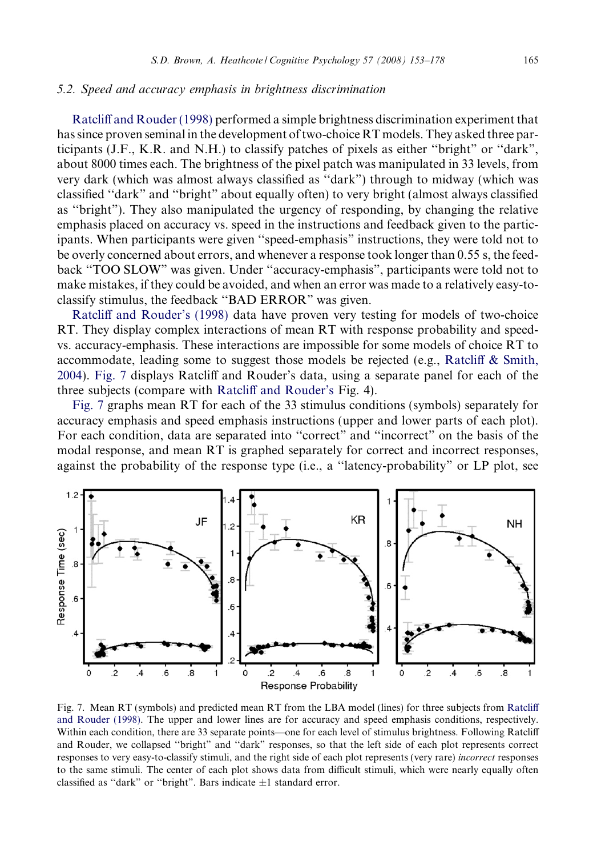## <span id="page-12-0"></span>5.2. Speed and accuracy emphasis in brightness discrimination

[Ratcliff and Rouder \(1998\)](#page-24-0) performed a simple brightness discrimination experiment that has since proven seminal in the development of two-choice RT models. They asked three participants (J.F., K.R. and N.H.) to classify patches of pixels as either ''bright" or ''dark", about 8000 times each. The brightness of the pixel patch was manipulated in 33 levels, from very dark (which was almost always classified as ''dark") through to midway (which was classified ''dark" and ''bright" about equally often) to very bright (almost always classified as ''bright"). They also manipulated the urgency of responding, by changing the relative emphasis placed on accuracy vs. speed in the instructions and feedback given to the participants. When participants were given ''speed-emphasis" instructions, they were told not to be overly concerned about errors, and whenever a response took longer than 0.55 s, the feedback ''TOO SLOW" was given. Under ''accuracy-emphasis", participants were told not to make mistakes, if they could be avoided, and when an error was made to a relatively easy-toclassify stimulus, the feedback ''BAD ERROR" was given.

[Ratcliff and Rouder's \(1998\)](#page-24-0) data have proven very testing for models of two-choice RT. They display complex interactions of mean RT with response probability and speedvs. accuracy-emphasis. These interactions are impossible for some models of choice RT to accommodate, leading some to suggest those models be rejected (e.g., [Ratcliff & Smith,](#page-24-0) [2004](#page-24-0)). Fig. 7 displays Ratcliff and Rouder's data, using a separate panel for each of the three subjects (compare with [Ratcliff and Rouder's](#page-24-0) Fig. 4).

Fig. 7 graphs mean RT for each of the 33 stimulus conditions (symbols) separately for accuracy emphasis and speed emphasis instructions (upper and lower parts of each plot). For each condition, data are separated into ''correct" and ''incorrect" on the basis of the modal response, and mean RT is graphed separately for correct and incorrect responses, against the probability of the response type (i.e., a ''latency-probability" or LP plot, see



Fig. 7. Mean RT (symbols) and predicted mean RT from the LBA model (lines) for three subjects from [Ratcliff](#page-24-0) [and Rouder \(1998\).](#page-24-0) The upper and lower lines are for accuracy and speed emphasis conditions, respectively. Within each condition, there are 33 separate points—one for each level of stimulus brightness. Following Ratcliff and Rouder, we collapsed ''bright" and ''dark" responses, so that the left side of each plot represents correct responses to very easy-to-classify stimuli, and the right side of each plot represents (very rare) *incorrect* responses to the same stimuli. The center of each plot shows data from difficult stimuli, which were nearly equally often classified as "dark" or "bright". Bars indicate  $\pm 1$  standard error.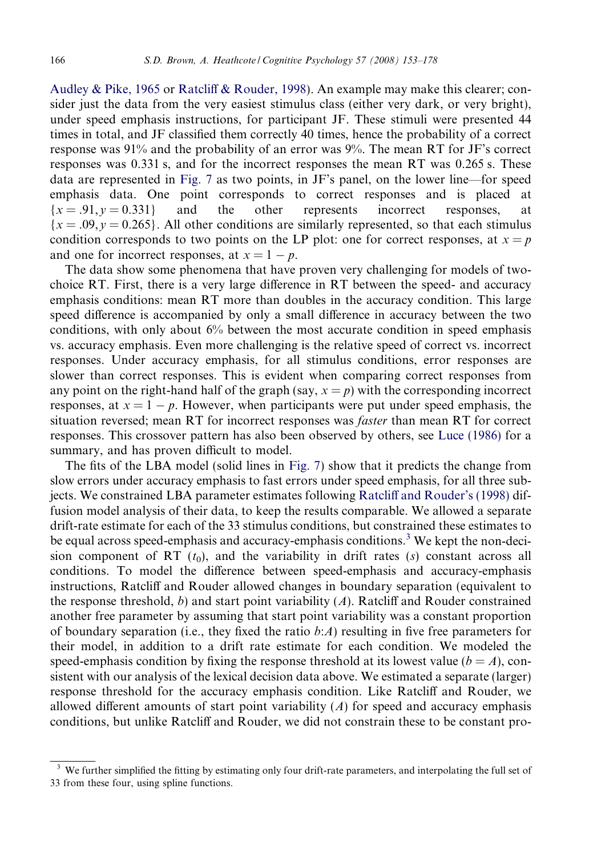[Audley & Pike, 1965](#page-23-0) or [Ratcliff & Rouder, 1998](#page-24-0)). An example may make this clearer; consider just the data from the very easiest stimulus class (either very dark, or very bright), under speed emphasis instructions, for participant JF. These stimuli were presented 44 times in total, and JF classified them correctly 40 times, hence the probability of a correct response was 91% and the probability of an error was 9%. The mean RT for JF's correct responses was 0.331 s, and for the incorrect responses the mean RT was 0.265 s. These data are represented in [Fig. 7](#page-12-0) as two points, in JF's panel, on the lower line—for speed emphasis data. One point corresponds to correct responses and is placed at  ${x = .91, y = 0.331}$  and the other represents incorrect responses, at  ${x = .09, y = 0.265}$ . All other conditions are similarly represented, so that each stimulus condition corresponds to two points on the LP plot: one for correct responses, at  $x = p$ and one for incorrect responses, at  $x = 1 - p$ .

The data show some phenomena that have proven very challenging for models of twochoice RT. First, there is a very large difference in RT between the speed- and accuracy emphasis conditions: mean RT more than doubles in the accuracy condition. This large speed difference is accompanied by only a small difference in accuracy between the two conditions, with only about 6% between the most accurate condition in speed emphasis vs. accuracy emphasis. Even more challenging is the relative speed of correct vs. incorrect responses. Under accuracy emphasis, for all stimulus conditions, error responses are slower than correct responses. This is evident when comparing correct responses from any point on the right-hand half of the graph (say,  $x = p$ ) with the corresponding incorrect responses, at  $x = 1 - p$ . However, when participants were put under speed emphasis, the situation reversed; mean RT for incorrect responses was *faster* than mean RT for correct responses. This crossover pattern has also been observed by others, see [Luce \(1986\)](#page-24-0) for a summary, and has proven difficult to model.

The fits of the LBA model (solid lines in [Fig. 7\)](#page-12-0) show that it predicts the change from slow errors under accuracy emphasis to fast errors under speed emphasis, for all three subjects. We constrained LBA parameter estimates following [Ratcliff and Rouder's \(1998\)](#page-24-0) diffusion model analysis of their data, to keep the results comparable. We allowed a separate drift-rate estimate for each of the 33 stimulus conditions, but constrained these estimates to be equal across speed-emphasis and accuracy-emphasis conditions.<sup>3</sup> We kept the non-decision component of RT  $(t_0)$ , and the variability in drift rates (s) constant across all conditions. To model the difference between speed-emphasis and accuracy-emphasis instructions, Ratcliff and Rouder allowed changes in boundary separation (equivalent to the response threshold, b) and start point variability  $(A)$ . Ratcliff and Rouder constrained another free parameter by assuming that start point variability was a constant proportion of boundary separation (i.e., they fixed the ratio  $b:A$ ) resulting in five free parameters for their model, in addition to a drift rate estimate for each condition. We modeled the speed-emphasis condition by fixing the response threshold at its lowest value ( $b = A$ ), consistent with our analysis of the lexical decision data above. We estimated a separate (larger) response threshold for the accuracy emphasis condition. Like Ratcliff and Rouder, we allowed different amounts of start point variability  $(A)$  for speed and accuracy emphasis conditions, but unlike Ratcliff and Rouder, we did not constrain these to be constant pro-

<sup>&</sup>lt;sup>3</sup> We further simplified the fitting by estimating only four drift-rate parameters, and interpolating the full set of 33 from these four, using spline functions.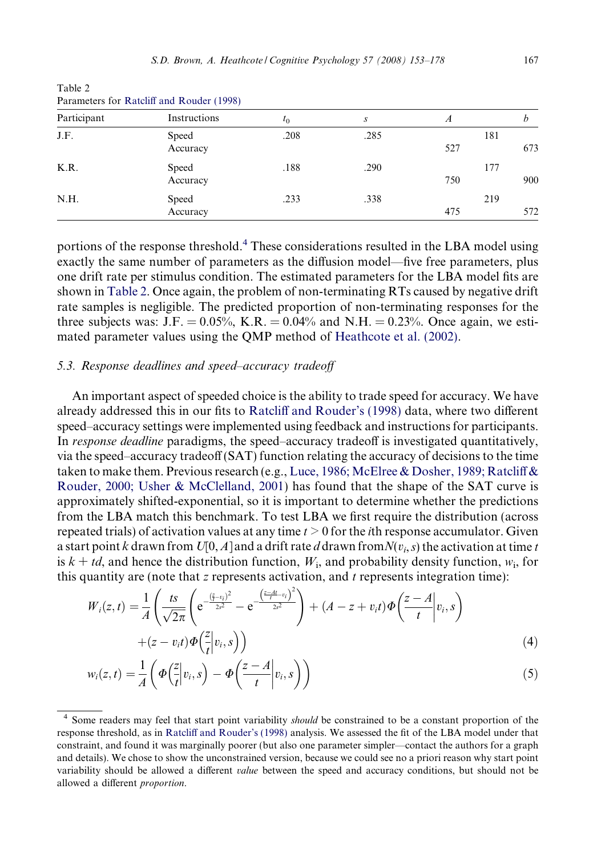| Participant | Instructions      | $t_{0}$ | S    | A          | b          |
|-------------|-------------------|---------|------|------------|------------|
| J.F.        | Speed<br>Accuracy | .208    | .285 | 527        | 181<br>673 |
| K.R.        | Speed<br>Accuracy | .188    | .290 | 750        | 177<br>900 |
| N.H.        | Speed<br>Accuracy | .233    | .338 | 219<br>475 | 572        |

<span id="page-14-0"></span>Table 2  $P_1$  and  $P_2$   $P_3$   $P_4$   $P_5$   $P_6$   $P_7$   $P_8$   $P_9$   $P_9$   $P_9$   $P_9$   $P_9$   $P_9$   $P_9$   $P_9$   $P_9$   $P_9$   $P_9$   $P_9$   $P_9$   $P_9$   $P_9$   $P_9$   $P_9$   $P_9$   $P_9$   $P_9$   $P_9$   $P_9$   $P_9$   $P_9$   $P_9$   $P_9$   $P_9$   $P_9$ 

portions of the response threshold.<sup>4</sup> These considerations resulted in the LBA model using exactly the same number of parameters as the diffusion model—five free parameters, plus one drift rate per stimulus condition. The estimated parameters for the LBA model fits are shown in Table 2. Once again, the problem of non-terminating RTs caused by negative drift rate samples is negligible. The predicted proportion of non-terminating responses for the three subjects was: J.F.  $= 0.05\%$ , K.R.  $= 0.04\%$  and N.H.  $= 0.23\%$ . Once again, we estimated parameter values using the QMP method of [Heathcote et al. \(2002\).](#page-23-0)

## 5.3. Response deadlines and speed–accuracy tradeoff

An important aspect of speeded choice is the ability to trade speed for accuracy. We have already addressed this in our fits to [Ratcliff and Rouder's \(1998\)](#page-24-0) data, where two different speed–accuracy settings were implemented using feedback and instructions for participants. In response deadline paradigms, the speed–accuracy tradeoff is investigated quantitatively, via the speed–accuracy tradeoff (SAT) function relating the accuracy of decisions to the time taken to make them. Previous research (e.g., [Luce, 1986; McElree & Dosher, 1989; Ratcliff &](#page-24-0) [Rouder, 2000; Usher & McClelland, 2001\)](#page-24-0) has found that the shape of the SAT curve is approximately shifted-exponential, so it is important to determine whether the predictions from the LBA match this benchmark. To test LBA we first require the distribution (across repeated trials) of activation values at any time  $t > 0$  for the *i*th response accumulator. Given a start point k drawn from  $U[0, A]$  and a drift rate d drawn from  $N(v_i, s)$  the activation at time t is  $k + td$ , and hence the distribution function,  $W_i$ , and probability density function,  $w_i$ , for this quantity are (note that z represents activation, and  $t$  represents integration time):

$$
W_i(z,t) = \frac{1}{A} \left( \frac{ts}{\sqrt{2\pi}} \left( e^{-\frac{(\tilde{z}-v_i)^2}{2s^2}} - e^{-\frac{(\tilde{z}-4t - v_i)^2}{2s^2}} \right) + (A - z + v_i t) \Phi \left( \frac{z - A}{t} \middle| v_i, s \right) + (z - v_i t) \Phi \left( \frac{z}{t} \middle| v_i, s \right) \right)
$$
(4)

$$
w_i(z,t) = \frac{1}{A} \left( \Phi\left(\frac{z}{t} \middle| v_i, s\right) - \Phi\left(\frac{z - A}{t} \middle| v_i, s\right) \right) \tag{5}
$$

<sup>&</sup>lt;sup>4</sup> Some readers may feel that start point variability *should* be constrained to be a constant proportion of the response threshold, as in [Ratcliff and Rouder's \(1998\)](#page-24-0) analysis. We assessed the fit of the LBA model under that constraint, and found it was marginally poorer (but also one parameter simpler—contact the authors for a graph and details). We chose to show the unconstrained version, because we could see no a priori reason why start point variability should be allowed a different *value* between the speed and accuracy conditions, but should not be allowed a different proportion.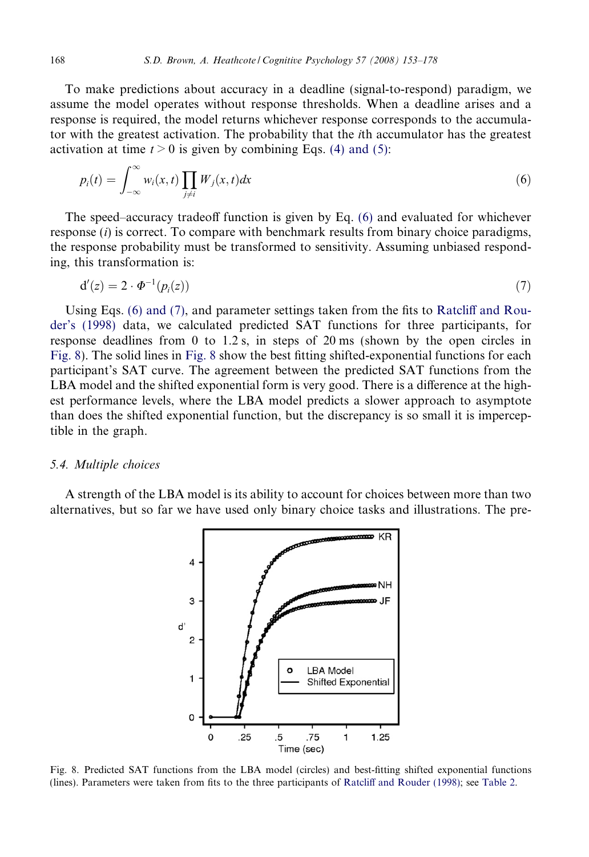To make predictions about accuracy in a deadline (signal-to-respond) paradigm, we assume the model operates without response thresholds. When a deadline arises and a response is required, the model returns whichever response corresponds to the accumulator with the greatest activation. The probability that the ith accumulator has the greatest activation at time  $t > 0$  is given by combining Eqs. [\(4\) and \(5\)](#page-14-0):

$$
p_i(t) = \int_{-\infty}^{\infty} w_i(x, t) \prod_{j \neq i} W_j(x, t) dx
$$
\n(6)

The speed–accuracy tradeoff function is given by Eq. (6) and evaluated for whichever response  $(i)$  is correct. To compare with benchmark results from binary choice paradigms, the response probability must be transformed to sensitivity. Assuming unbiased responding, this transformation is:

$$
\mathbf{d}'(z) = 2 \cdot \Phi^{-1}(p_i(z)) \tag{7}
$$

Using Eqs. (6) and (7), and parameter settings taken from the fits to [Ratcliff and Rou](#page-24-0)[der's \(1998\)](#page-24-0) data, we calculated predicted SAT functions for three participants, for response deadlines from 0 to 1.2 s, in steps of 20 ms (shown by the open circles in Fig. 8). The solid lines in Fig. 8 show the best fitting shifted-exponential functions for each participant's SAT curve. The agreement between the predicted SAT functions from the LBA model and the shifted exponential form is very good. There is a difference at the highest performance levels, where the LBA model predicts a slower approach to asymptote than does the shifted exponential function, but the discrepancy is so small it is imperceptible in the graph.

#### 5.4. Multiple choices

A strength of the LBA model is its ability to account for choices between more than two alternatives, but so far we have used only binary choice tasks and illustrations. The pre-



Fig. 8. Predicted SAT functions from the LBA model (circles) and best-fitting shifted exponential functions (lines). Parameters were taken from fits to the three participants of [Ratcliff and Rouder \(1998\);](#page-24-0) see [Table 2](#page-14-0).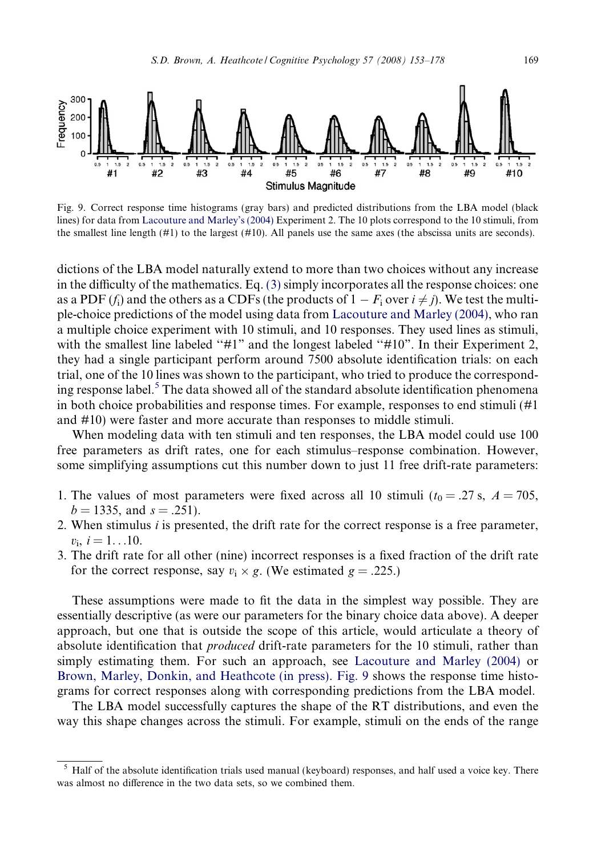<span id="page-16-0"></span>

Fig. 9. Correct response time histograms (gray bars) and predicted distributions from the LBA model (black lines) for data from [Lacouture and Marley's \(2004\)](#page-24-0) Experiment 2. The 10 plots correspond to the 10 stimuli, from the smallest line length  $(\#1)$  to the largest  $(\#10)$ . All panels use the same axes (the abscissa units are seconds).

dictions of the LBA model naturally extend to more than two choices without any increase in the difficulty of the mathematics. Eq. [\(3\)](#page-6-0) simply incorporates all the response choices: one as a PDF  $(f_i)$  and the others as a CDFs (the products of  $1 - F_i$  over  $i \neq j$ ). We test the multiple-choice predictions of the model using data from [Lacouture and Marley \(2004\)](#page-24-0), who ran a multiple choice experiment with 10 stimuli, and 10 responses. They used lines as stimuli, with the smallest line labeled " $#1$ " and the longest labeled " $#10$ ". In their Experiment 2, they had a single participant perform around 7500 absolute identification trials: on each trial, one of the 10 lines was shown to the participant, who tried to produce the corresponding response label. $5$  The data showed all of the standard absolute identification phenomena in both choice probabilities and response times. For example, responses to end stimuli  $(H<sup>1</sup>)$ and #10) were faster and more accurate than responses to middle stimuli.

When modeling data with ten stimuli and ten responses, the LBA model could use 100 free parameters as drift rates, one for each stimulus–response combination. However, some simplifying assumptions cut this number down to just 11 free drift-rate parameters:

- 1. The values of most parameters were fixed across all 10 stimuli ( $t_0 = .27$  s,  $A = 705$ ,  $b = 1335$ , and  $s = .251$ ).
- 2. When stimulus  $i$  is presented, the drift rate for the correct response is a free parameter,  $v_i, i = 1...10.$
- 3. The drift rate for all other (nine) incorrect responses is a fixed fraction of the drift rate for the correct response, say  $v_i \times g$ . (We estimated  $g = .225$ .)

These assumptions were made to fit the data in the simplest way possible. They are essentially descriptive (as were our parameters for the binary choice data above). A deeper approach, but one that is outside the scope of this article, would articulate a theory of absolute identification that *produced* drift-rate parameters for the 10 stimuli, rather than simply estimating them. For such an approach, see [Lacouture and Marley \(2004\)](#page-24-0) or [Brown, Marley, Donkin, and Heathcote \(in press\).](#page-23-0) Fig. 9 shows the response time histograms for correct responses along with corresponding predictions from the LBA model.

The LBA model successfully captures the shape of the RT distributions, and even the way this shape changes across the stimuli. For example, stimuli on the ends of the range

 $<sup>5</sup>$  Half of the absolute identification trials used manual (keyboard) responses, and half used a voice key. There</sup> was almost no difference in the two data sets, so we combined them.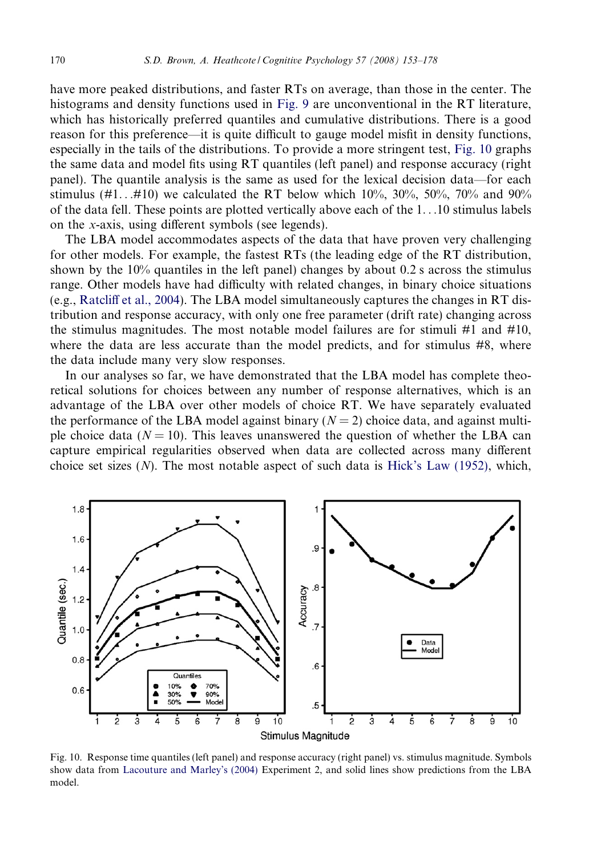have more peaked distributions, and faster RTs on average, than those in the center. The histograms and density functions used in [Fig. 9](#page-16-0) are unconventional in the RT literature, which has historically preferred quantiles and cumulative distributions. There is a good reason for this preference—it is quite difficult to gauge model misfit in density functions, especially in the tails of the distributions. To provide a more stringent test, Fig. 10 graphs the same data and model fits using RT quantiles (left panel) and response accuracy (right panel). The quantile analysis is the same as used for the lexical decision data—for each stimulus (#1...#10) we calculated the RT below which 10%, 30%, 50%, 70% and 90% of the data fell. These points are plotted vertically above each of the 1...10 stimulus labels on the x-axis, using different symbols (see legends).

The LBA model accommodates aspects of the data that have proven very challenging for other models. For example, the fastest RTs (the leading edge of the RT distribution, shown by the 10% quantiles in the left panel) changes by about 0.2 s across the stimulus range. Other models have had difficulty with related changes, in binary choice situations (e.g., [Ratcliff et al., 2004\)](#page-24-0). The LBA model simultaneously captures the changes in RT distribution and response accuracy, with only one free parameter (drift rate) changing across the stimulus magnitudes. The most notable model failures are for stimuli #1 and #10, where the data are less accurate than the model predicts, and for stimulus #8, where the data include many very slow responses.

In our analyses so far, we have demonstrated that the LBA model has complete theoretical solutions for choices between any number of response alternatives, which is an advantage of the LBA over other models of choice RT. We have separately evaluated the performance of the LBA model against binary ( $N = 2$ ) choice data, and against multiple choice data  $(N = 10)$ . This leaves unanswered the question of whether the LBA can capture empirical regularities observed when data are collected across many different choice set sizes  $(N)$ . The most notable aspect of such data is [Hick's Law \(1952\),](#page-23-0) which,



Fig. 10. Response time quantiles (left panel) and response accuracy (right panel) vs. stimulus magnitude. Symbols show data from [Lacouture and Marley's \(2004\)](#page-24-0) Experiment 2, and solid lines show predictions from the LBA model.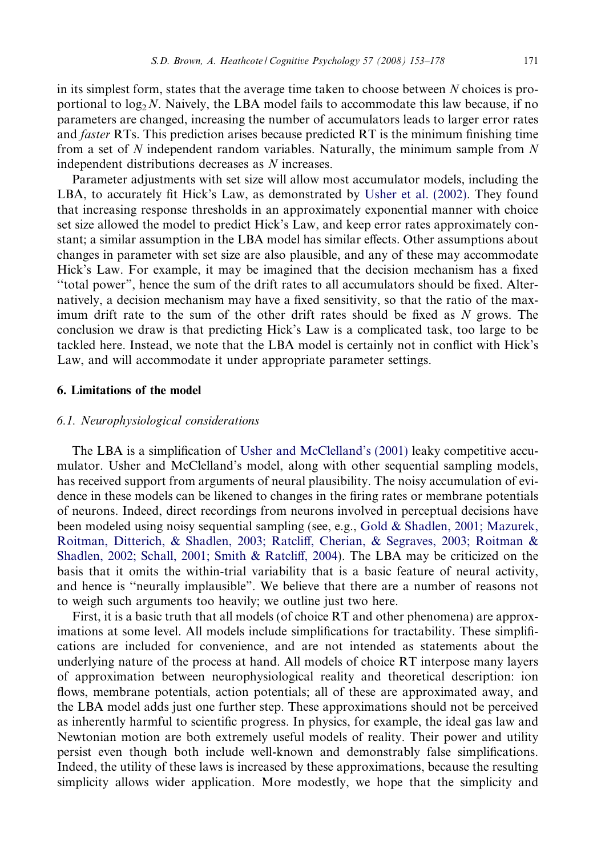in its simplest form, states that the average time taken to choose between N choices is proportional to  $log_2 N$ . Naively, the LBA model fails to accommodate this law because, if no parameters are changed, increasing the number of accumulators leads to larger error rates and faster RTs. This prediction arises because predicted RT is the minimum finishing time from a set of N independent random variables. Naturally, the minimum sample from  $N$ independent distributions decreases as N increases.

Parameter adjustments with set size will allow most accumulator models, including the LBA, to accurately fit Hick's Law, as demonstrated by [Usher et al. \(2002\).](#page-25-0) They found that increasing response thresholds in an approximately exponential manner with choice set size allowed the model to predict Hick's Law, and keep error rates approximately constant; a similar assumption in the LBA model has similar effects. Other assumptions about changes in parameter with set size are also plausible, and any of these may accommodate Hick's Law. For example, it may be imagined that the decision mechanism has a fixed ''total power", hence the sum of the drift rates to all accumulators should be fixed. Alternatively, a decision mechanism may have a fixed sensitivity, so that the ratio of the maximum drift rate to the sum of the other drift rates should be fixed as N grows. The conclusion we draw is that predicting Hick's Law is a complicated task, too large to be tackled here. Instead, we note that the LBA model is certainly not in conflict with Hick's Law, and will accommodate it under appropriate parameter settings.

## 6. Limitations of the model

#### 6.1. Neurophysiological considerations

The LBA is a simplification of [Usher and McClelland's \(2001\)](#page-25-0) leaky competitive accumulator. Usher and McClelland's model, along with other sequential sampling models, has received support from arguments of neural plausibility. The noisy accumulation of evidence in these models can be likened to changes in the firing rates or membrane potentials of neurons. Indeed, direct recordings from neurons involved in perceptual decisions have been modeled using noisy sequential sampling (see, e.g., [Gold & Shadlen, 2001; Mazurek,](#page-23-0) [Roitman, Ditterich, & Shadlen, 2003; Ratcliff, Cherian, & Segraves, 2003; Roitman &](#page-23-0) [Shadlen, 2002; Schall, 2001; Smith & Ratcliff, 2004](#page-23-0)). The LBA may be criticized on the basis that it omits the within-trial variability that is a basic feature of neural activity, and hence is ''neurally implausible". We believe that there are a number of reasons not to weigh such arguments too heavily; we outline just two here.

First, it is a basic truth that all models (of choice RT and other phenomena) are approximations at some level. All models include simplifications for tractability. These simplifications are included for convenience, and are not intended as statements about the underlying nature of the process at hand. All models of choice RT interpose many layers of approximation between neurophysiological reality and theoretical description: ion flows, membrane potentials, action potentials; all of these are approximated away, and the LBA model adds just one further step. These approximations should not be perceived as inherently harmful to scientific progress. In physics, for example, the ideal gas law and Newtonian motion are both extremely useful models of reality. Their power and utility persist even though both include well-known and demonstrably false simplifications. Indeed, the utility of these laws is increased by these approximations, because the resulting simplicity allows wider application. More modestly, we hope that the simplicity and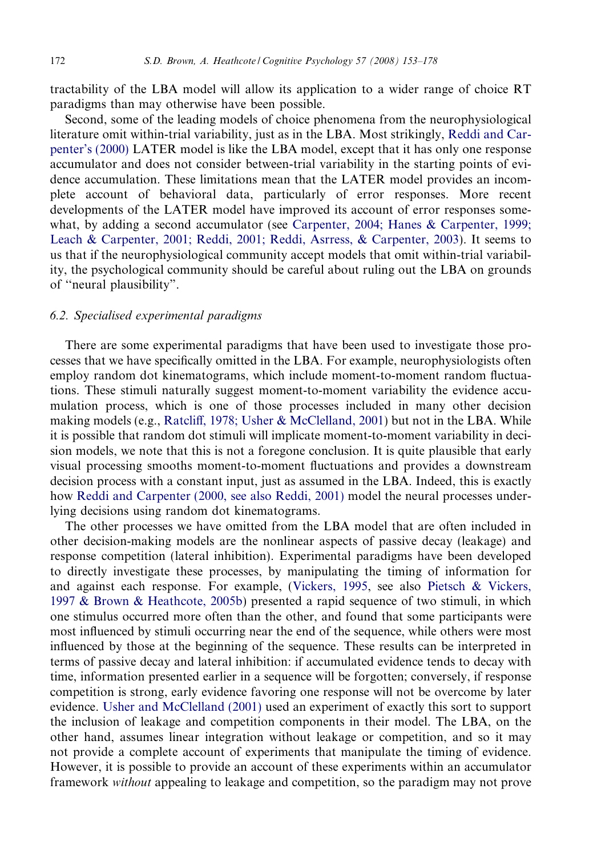tractability of the LBA model will allow its application to a wider range of choice RT paradigms than may otherwise have been possible.

Second, some of the leading models of choice phenomena from the neurophysiological literature omit within-trial variability, just as in the LBA. Most strikingly, [Reddi and Car](#page-24-0)[penter's \(2000\)](#page-24-0) LATER model is like the LBA model, except that it has only one response accumulator and does not consider between-trial variability in the starting points of evidence accumulation. These limitations mean that the LATER model provides an incomplete account of behavioral data, particularly of error responses. More recent developments of the LATER model have improved its account of error responses somewhat, by adding a second accumulator (see [Carpenter, 2004; Hanes & Carpenter, 1999;](#page-23-0) [Leach & Carpenter, 2001; Reddi, 2001; Reddi, Asrress, & Carpenter, 2003\)](#page-23-0). It seems to us that if the neurophysiological community accept models that omit within-trial variability, the psychological community should be careful about ruling out the LBA on grounds of ''neural plausibility".

#### 6.2. Specialised experimental paradigms

There are some experimental paradigms that have been used to investigate those processes that we have specifically omitted in the LBA. For example, neurophysiologists often employ random dot kinematograms, which include moment-to-moment random fluctuations. These stimuli naturally suggest moment-to-moment variability the evidence accumulation process, which is one of those processes included in many other decision making models (e.g., [Ratcliff, 1978; Usher & McClelland, 2001](#page-24-0)) but not in the LBA. While it is possible that random dot stimuli will implicate moment-to-moment variability in decision models, we note that this is not a foregone conclusion. It is quite plausible that early visual processing smooths moment-to-moment fluctuations and provides a downstream decision process with a constant input, just as assumed in the LBA. Indeed, this is exactly how [Reddi and Carpenter \(2000, see also Reddi, 2001\)](#page-24-0) model the neural processes underlying decisions using random dot kinematograms.

The other processes we have omitted from the LBA model that are often included in other decision-making models are the nonlinear aspects of passive decay (leakage) and response competition (lateral inhibition). Experimental paradigms have been developed to directly investigate these processes, by manipulating the timing of information for and against each response. For example, ([Vickers, 1995](#page-25-0), see also [Pietsch & Vickers,](#page-24-0) [1997 & Brown & Heathcote, 2005b\)](#page-24-0) presented a rapid sequence of two stimuli, in which one stimulus occurred more often than the other, and found that some participants were most influenced by stimuli occurring near the end of the sequence, while others were most influenced by those at the beginning of the sequence. These results can be interpreted in terms of passive decay and lateral inhibition: if accumulated evidence tends to decay with time, information presented earlier in a sequence will be forgotten; conversely, if response competition is strong, early evidence favoring one response will not be overcome by later evidence. [Usher and McClelland \(2001\)](#page-25-0) used an experiment of exactly this sort to support the inclusion of leakage and competition components in their model. The LBA, on the other hand, assumes linear integration without leakage or competition, and so it may not provide a complete account of experiments that manipulate the timing of evidence. However, it is possible to provide an account of these experiments within an accumulator framework without appealing to leakage and competition, so the paradigm may not prove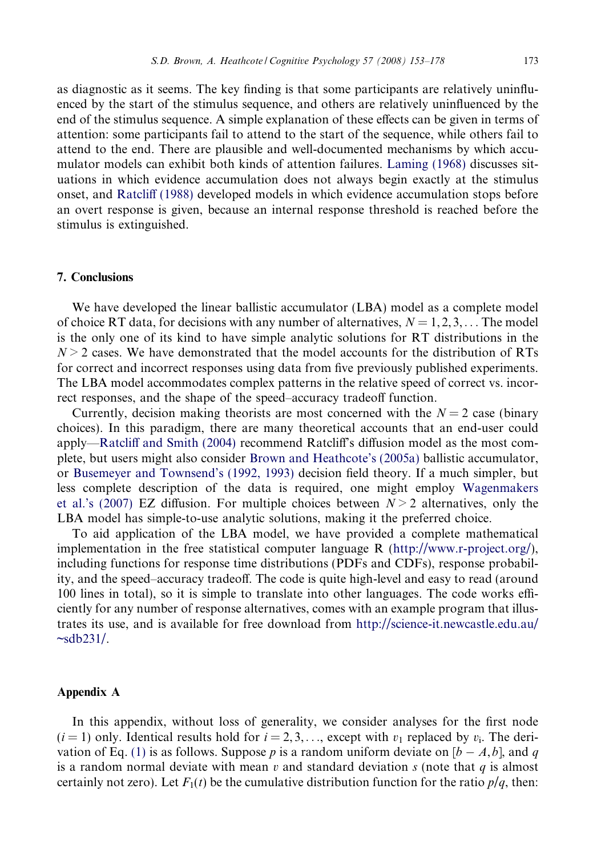as diagnostic as it seems. The key finding is that some participants are relatively uninfluenced by the start of the stimulus sequence, and others are relatively uninfluenced by the end of the stimulus sequence. A simple explanation of these effects can be given in terms of attention: some participants fail to attend to the start of the sequence, while others fail to attend to the end. There are plausible and well-documented mechanisms by which accumulator models can exhibit both kinds of attention failures. [Laming \(1968\)](#page-24-0) discusses situations in which evidence accumulation does not always begin exactly at the stimulus onset, and [Ratcliff \(1988\)](#page-24-0) developed models in which evidence accumulation stops before an overt response is given, because an internal response threshold is reached before the stimulus is extinguished.

#### 7. Conclusions

We have developed the linear ballistic accumulator (LBA) model as a complete model of choice RT data, for decisions with any number of alternatives,  $N = 1, 2, 3, \ldots$  The model is the only one of its kind to have simple analytic solutions for RT distributions in the  $N > 2$  cases. We have demonstrated that the model accounts for the distribution of RTs for correct and incorrect responses using data from five previously published experiments. The LBA model accommodates complex patterns in the relative speed of correct vs. incorrect responses, and the shape of the speed–accuracy tradeoff function.

Currently, decision making theorists are most concerned with the  $N = 2$  case (binary choices). In this paradigm, there are many theoretical accounts that an end-user could apply—[Ratcliff and Smith \(2004\)](#page-24-0) recommend Ratcliff's diffusion model as the most complete, but users might also consider [Brown and Heathcote's \(2005a\)](#page-23-0) ballistic accumulator, or [Busemeyer and Townsend's \(1992, 1993\)](#page-23-0) decision field theory. If a much simpler, but less complete description of the data is required, one might employ [Wagenmakers](#page-25-0) [et al.'s \(2007\)](#page-25-0) EZ diffusion. For multiple choices between  $N > 2$  alternatives, only the LBA model has simple-to-use analytic solutions, making it the preferred choice.

To aid application of the LBA model, we have provided a complete mathematical implementation in the free statistical computer language R [\(http://www.r-project.org/\)](http://www.r-project.org/), including functions for response time distributions (PDFs and CDFs), response probability, and the speed–accuracy tradeoff. The code is quite high-level and easy to read (around 100 lines in total), so it is simple to translate into other languages. The code works efficiently for any number of response alternatives, comes with an example program that illustrates its use, and is available for free download from [http://science-it.newcastle.edu.au/](http://science-it.newcastle.edu.au/~sdb231/)  $\sim$ sdb231/.

## Appendix A

In this appendix, without loss of generality, we consider analyses for the first node  $(i = 1)$  only. Identical results hold for  $i = 2, 3, \ldots$ , except with  $v_1$  replaced by  $v_i$ . The deri-vation of Eq. [\(1\)](#page-6-0) is as follows. Suppose p is a random uniform deviate on  $[b - A, b]$ , and q is a random normal deviate with mean v and standard deviation s (note that q is almost certainly not zero). Let  $F_1(t)$  be the cumulative distribution function for the ratio  $p/q$ , then: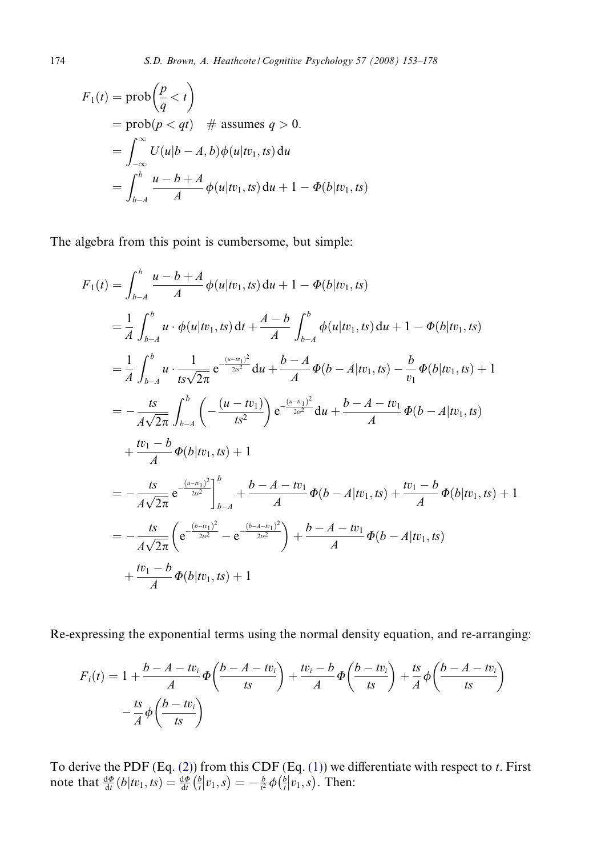$$
F_1(t) = prob\left(\frac{p}{q} < t\right)
$$
  
= prob(p < qt) # assumes q > 0.  
= 
$$
\int_{-\infty}^{\infty} U(u|b - A, b)\phi(u|w_1, ts) du
$$
  
= 
$$
\int_{b-A}^{b} \frac{u - b + A}{A} \phi(u|w_1, ts) du + 1 - \Phi(b|w_1, ts)
$$

The algebra from this point is cumbersome, but simple:

$$
F_1(t) = \int_{b-A}^{b} \frac{u-b+A}{A} \phi(u|tv_1, ts) du + 1 - \Phi(b|tv_1, ts)
$$
  
\n
$$
= \frac{1}{A} \int_{b-A}^{b} u \cdot \phi(u|tv_1, ts) dt + \frac{A-b}{A} \int_{b-A}^{b} \phi(u|tv_1, ts) du + 1 - \Phi(b|tv_1, ts)
$$
  
\n
$$
= \frac{1}{A} \int_{b-A}^{b} u \cdot \frac{1}{ts\sqrt{2\pi}} e^{-\frac{(u-tv_1)^2}{2s^2}} du + \frac{b-A}{A} \Phi(b-A|tv_1, ts) - \frac{b}{v_1} \Phi(b|tv_1, ts) + 1
$$
  
\n
$$
= -\frac{ts}{A\sqrt{2\pi}} \int_{b-A}^{b} \left( -\frac{(u-tv_1)}{ts^2} \right) e^{-\frac{(u-tv_1)^2}{2s^2}} du + \frac{b-A-tv_1}{A} \Phi(b-A|tv_1, ts)
$$
  
\n
$$
+ \frac{tv_1-b}{A} \Phi(b|tv_1, ts) + 1
$$
  
\n
$$
= -\frac{ts}{A\sqrt{2\pi}} e^{-\frac{(u-tv_1)^2}{2s^2}} \Big|_{b-A}^{b} + \frac{b-A-tv_1}{A} \Phi(b-A|tv_1, ts) + \frac{tv_1-b}{A} \Phi(b|tv_1, ts) + 1
$$
  
\n
$$
= -\frac{ts}{A\sqrt{2\pi}} \left( e^{-\frac{(b-u_1)^2}{2s^2}} - e^{-\frac{(b-A-tv_1)^2}{2s^2}} \right) + \frac{b-A-tv_1}{A} \Phi(b-A|tv_1, ts)
$$
  
\n
$$
+ \frac{tv_1-b}{A} \Phi(b|tv_1, ts) + 1
$$

Re-expressing the exponential terms using the normal density equation, and re-arranging:

$$
F_i(t) = 1 + \frac{b - A - tv_i}{A} \Phi\left(\frac{b - A - tv_i}{ts}\right) + \frac{tv_i - b}{A} \Phi\left(\frac{b - tv_i}{ts}\right) + \frac{ts}{A} \phi\left(\frac{b - A - tv_i}{ts}\right)
$$

$$
- \frac{ts}{A} \phi\left(\frac{b - tv_i}{ts}\right)
$$

To derive the PDF (Eq. [\(2\)](#page-6-0)) from this CDF (Eq. [\(1\)\)](#page-6-0) we differentiate with respect to t. First note that  $\frac{d\Phi}{dt}(b|tv_1, ts) = \frac{d\Phi}{dt}(\frac{b}{t})$  $\left(\frac{b}{t}|v_1,s\right) = -\frac{b}{t^2}\phi\left(\frac{b}{t}\right)$  $\frac{(\underline{b}}{t}|v_1,s)$ . Then: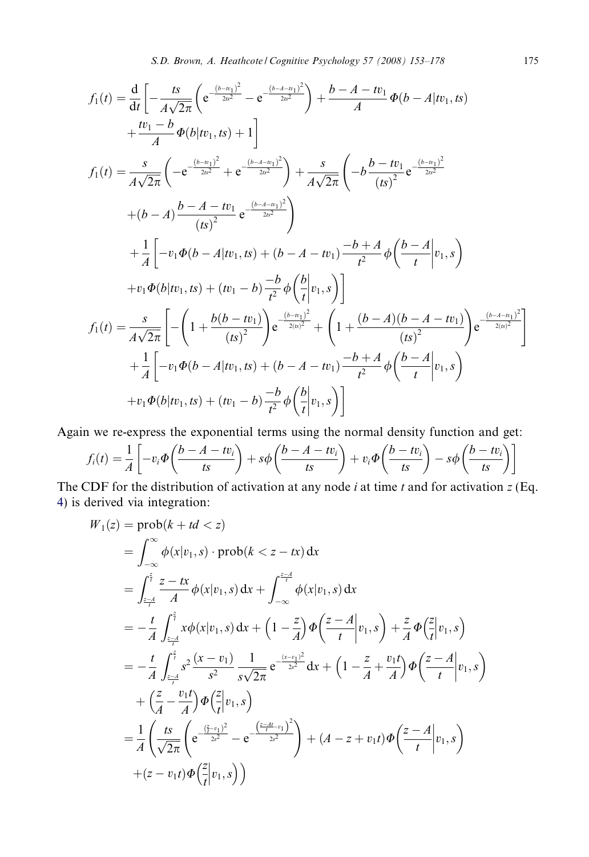$$
f_1(t) = \frac{d}{dt} \left[ -\frac{ts}{A\sqrt{2\pi}} \left( e^{-\frac{(b-m_1)^2}{2\sigma^2}} - e^{-\frac{(b-A-m_1)^2}{2\sigma^2}} \right) + \frac{b-A-tv_1}{A} \Phi(b-A|w_1, ts) + \frac{tv_1 - b}{A} \Phi(b|w_1, ts) + 1 \right]
$$
  
\n
$$
f_1(t) = \frac{s}{A\sqrt{2\pi}} \left( -e^{-\frac{(b-n_1)^2}{2\sigma^2}} + e^{-\frac{(b-A-m_1)^2}{2\sigma^2}} \right) + \frac{s}{A\sqrt{2\pi}} \left( -b\frac{b-tv_1}{(ts)^2} e^{-\frac{(b-n_1)^2}{2\sigma^2}} \right)
$$
  
\n
$$
+ (b-A) \frac{b-A-tv_1}{(ts)^2} e^{-\frac{(b-A-m_1)^2}{2\sigma^2}} \right)
$$
  
\n
$$
+ \frac{1}{A} \left[ -v_1 \Phi(b-A|w_1, ts) + (b-A-tv_1) \frac{-b+A}{t^2} \phi\left(\frac{b-A}{t}|v_1, s\right) \right]
$$
  
\n
$$
+ v_1 \Phi(b|w_1, ts) + (w_1 - b) \frac{-b}{t^2} \phi\left(\frac{b}{t}|v_1, s\right) \right]
$$
  
\n
$$
f_1(t) = \frac{s}{A\sqrt{2\pi}} \left[ -\left( 1 + \frac{b(b-tv_1)}{(ts)^2} \right) e^{-\frac{(b-w_1)^2}{2(s)^2}} + \left( 1 + \frac{(b-A)(b-A-tv_1)}{(ts)^2} \right) e^{-\frac{(b-A-v_1)^2}{2(s)^2}} \right]
$$
  
\n
$$
+ \frac{1}{A} \left[ -v_1 \Phi(b-A|w_1, ts) + (b-A-tv_1) \frac{-b+A}{t^2} \phi\left(\frac{b-A}{t}|v_1, s\right) + v_1 \Phi(b|w_1, ts) + (w_1 - b) \frac{-b}{t^2} \phi\left(\frac{b}{t}|v_1, s\right) \right]
$$

Again we re-express the exponential terms using the normal density function and get:

$$
f_i(t) = \frac{1}{A} \left[ -v_i \Phi \left( \frac{b - A - tv_i}{ts} \right) + s \phi \left( \frac{b - A - tv_i}{ts} \right) + v_i \Phi \left( \frac{b - tv_i}{ts} \right) - s \phi \left( \frac{b - tv_i}{ts} \right) \right]
$$

The CDF for the distribution of activation at any node *i* at time *t* and for activation  $z$  (Eq. [4](#page-14-0)) is derived via integration:

$$
W_{1}(z) = prob(k + td < z)
$$
  
\n
$$
= \int_{-\infty}^{\infty} \phi(x|v_{1}, s) \cdot prob(k < z - tx) dx
$$
  
\n
$$
= \int_{\frac{z-4}{4}}^{\frac{z}{4}} \frac{z - tx}{A} \phi(x|v_{1}, s) dx + \int_{-\infty}^{\frac{z-4}{4}} \phi(x|v_{1}, s) dx
$$
  
\n
$$
= -\frac{t}{A} \int_{\frac{z-4}{4}}^{\frac{z}{4}} x \phi(x|v_{1}, s) dx + (1 - \frac{z}{A}) \phi(\frac{z - A}{t}|v_{1}, s) + \frac{z}{A} \phi(\frac{z}{t}|v_{1}, s)
$$
  
\n
$$
= -\frac{t}{A} \int_{\frac{z-4}{4}}^{\frac{z}{4}} s^{2} \frac{(x - v_{1})}{s^{2}} \frac{1}{s\sqrt{2\pi}} e^{-\frac{(x - v_{1})^{2}}{2s^{2}}} dx + (1 - \frac{z}{A} + \frac{v_{1}t}{A}) \phi(\frac{z - A}{t}|v_{1}, s)
$$
  
\n
$$
+ (\frac{z}{A} - \frac{v_{1}t}{A}) \phi(\frac{z}{t}|v_{1}, s)
$$
  
\n
$$
= \frac{1}{A} (\frac{ts}{\sqrt{2\pi}} (e^{-\frac{(z - u_{1})^{2}}{2s^{2}} - e^{-\frac{(\frac{z - At}{t} - v_{1})^{2}}{2s^{2}}}) + (A - z + v_{1}t) \phi(\frac{z - A}{t}|v_{1}, s)
$$
  
\n
$$
+ (z - v_{1}t) \phi(\frac{z}{t}|v_{1}, s))
$$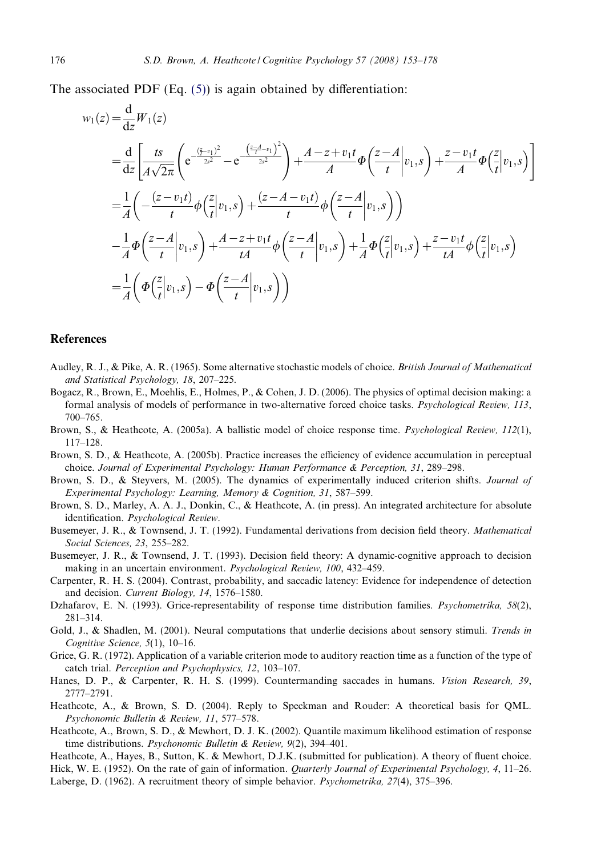<span id="page-23-0"></span>The associated PDF (Eq. (5)) is again obtained by differentiation:

$$
w_{1}(z) = \frac{d}{dz}W_{1}(z)
$$
  
\n
$$
= \frac{d}{dz}\left[\frac{ts}{A\sqrt{2\pi}}\left(e^{-\frac{(\tilde{t}^{-v_{1}})^{2}}{2s^{2}}}-e^{-\frac{(\frac{z-A}{t}-v_{1})^{2}}{2s^{2}}}\right)+\frac{A-z+v_{1}t}{A}\Phi\left(\frac{z-A}{t}|v_{1},s\right)+\frac{z-v_{1}t}{A}\Phi\left(\frac{z}{t}|v_{1},s\right)\right]
$$
  
\n
$$
= \frac{1}{A}\left(-\frac{(z-v_{1}t)}{t}\phi\left(\frac{z}{t}|v_{1},s\right)+\frac{(z-A-v_{1}t)}{t}\phi\left(\frac{z-A}{t}|v_{1},s\right)\right)
$$
  
\n
$$
-\frac{1}{A}\Phi\left(\frac{z-A}{t}|v_{1},s\right)+\frac{A-z+v_{1}t}{tA}\phi\left(\frac{z-A}{t}|v_{1},s\right)+\frac{1}{A}\Phi\left(\frac{z}{t}|v_{1},s\right)+\frac{z-v_{1}t}{tA}\phi\left(\frac{z}{t}|v_{1},s\right)
$$
  
\n
$$
= \frac{1}{A}\left(\Phi\left(\frac{z}{t}|v_{1},s\right)-\Phi\left(\frac{z-A}{t}|v_{1},s\right)\right)
$$

## **References**

- Audley, R. J., & Pike, A. R. (1965). Some alternative stochastic models of choice. British Journal of Mathematical and Statistical Psychology, 18, 207–225.
- Bogacz, R., Brown, E., Moehlis, E., Holmes, P., & Cohen, J. D. (2006). The physics of optimal decision making: a formal analysis of models of performance in two-alternative forced choice tasks. *Psychological Review*, 113, 700–765.
- Brown, S., & Heathcote, A. (2005a). A ballistic model of choice response time. Psychological Review, 112(1), 117–128.
- Brown, S. D., & Heathcote, A. (2005b). Practice increases the efficiency of evidence accumulation in perceptual choice. Journal of Experimental Psychology: Human Performance & Perception, 31, 289–298.
- Brown, S. D., & Steyvers, M. (2005). The dynamics of experimentally induced criterion shifts. Journal of Experimental Psychology: Learning, Memory & Cognition, 31, 587–599.
- Brown, S. D., Marley, A. A. J., Donkin, C., & Heathcote, A. (in press). An integrated architecture for absolute identification. Psychological Review.
- Busemeyer, J. R., & Townsend, J. T. (1992). Fundamental derivations from decision field theory. Mathematical Social Sciences, 23, 255–282.
- Busemeyer, J. R., & Townsend, J. T. (1993). Decision field theory: A dynamic-cognitive approach to decision making in an uncertain environment. Psychological Review, 100, 432–459.
- Carpenter, R. H. S. (2004). Contrast, probability, and saccadic latency: Evidence for independence of detection and decision. Current Biology, 14, 1576–1580.
- Dzhafarov, E. N. (1993). Grice-representability of response time distribution families. *Psychometrika*, 58(2), 281–314.
- Gold, J., & Shadlen, M. (2001). Neural computations that underlie decisions about sensory stimuli. Trends in Cognitive Science, 5(1), 10–16.
- Grice, G. R. (1972). Application of a variable criterion mode to auditory reaction time as a function of the type of catch trial. Perception and Psychophysics, 12, 103–107.
- Hanes, D. P., & Carpenter, R. H. S. (1999). Countermanding saccades in humans. Vision Research, 39, 2777–2791.
- Heathcote, A., & Brown, S. D. (2004). Reply to Speckman and Rouder: A theoretical basis for QML. Psychonomic Bulletin & Review, 11, 577–578.
- Heathcote, A., Brown, S. D., & Mewhort, D. J. K. (2002). Quantile maximum likelihood estimation of response time distributions. Psychonomic Bulletin & Review, 9(2), 394–401.
- Heathcote, A., Hayes, B., Sutton, K. & Mewhort, D.J.K. (submitted for publication). A theory of fluent choice. Hick, W. E. (1952). On the rate of gain of information. Quarterly Journal of Experimental Psychology, 4, 11–26.

Laberge, D. (1962). A recruitment theory of simple behavior. Psychometrika, 27(4), 375–396.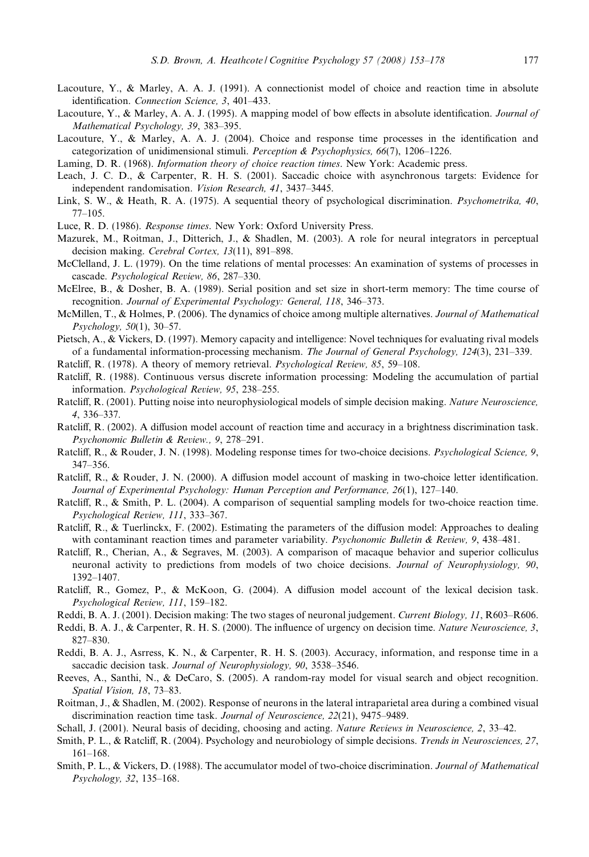- <span id="page-24-0"></span>Lacouture, Y., & Marley, A. A. J. (1991). A connectionist model of choice and reaction time in absolute identification. Connection Science, 3, 401–433.
- Lacouture, Y., & Marley, A. A. J. (1995). A mapping model of bow effects in absolute identification. Journal of Mathematical Psychology, 39, 383–395.
- Lacouture, Y., & Marley, A. A. J. (2004). Choice and response time processes in the identification and categorization of unidimensional stimuli. Perception & Psychophysics, 66(7), 1206–1226.

Laming, D. R. (1968). Information theory of choice reaction times. New York: Academic press.

- Leach, J. C. D., & Carpenter, R. H. S. (2001). Saccadic choice with asynchronous targets: Evidence for independent randomisation. Vision Research, 41, 3437–3445.
- Link, S. W., & Heath, R. A. (1975). A sequential theory of psychological discrimination. *Psychometrika*, 40, 77–105.
- Luce, R. D. (1986). Response times. New York: Oxford University Press.
- Mazurek, M., Roitman, J., Ditterich, J., & Shadlen, M. (2003). A role for neural integrators in perceptual decision making. Cerebral Cortex, 13(11), 891–898.
- McClelland, J. L. (1979). On the time relations of mental processes: An examination of systems of processes in cascade. Psychological Review, 86, 287–330.
- McElree, B., & Dosher, B. A. (1989). Serial position and set size in short-term memory: The time course of recognition. Journal of Experimental Psychology: General, 118, 346–373.
- McMillen, T., & Holmes, P. (2006). The dynamics of choice among multiple alternatives. Journal of Mathematical Psychology, 50(1), 30–57.
- Pietsch, A., & Vickers, D. (1997). Memory capacity and intelligence: Novel techniques for evaluating rival models of a fundamental information-processing mechanism. The Journal of General Psychology, 124(3), 231–339.
- Ratcliff, R. (1978). A theory of memory retrieval. Psychological Review, 85, 59–108.
- Ratcliff, R. (1988). Continuous versus discrete information processing: Modeling the accumulation of partial information. Psychological Review, 95, 238–255.
- Ratcliff, R. (2001). Putting noise into neurophysiological models of simple decision making. Nature Neuroscience, 4, 336–337.
- Ratcliff, R. (2002). A diffusion model account of reaction time and accuracy in a brightness discrimination task. Psychonomic Bulletin & Review., 9, 278–291.
- Ratcliff, R., & Rouder, J. N. (1998). Modeling response times for two-choice decisions. Psychological Science, 9, 347–356.
- Ratcliff, R., & Rouder, J. N. (2000). A diffusion model account of masking in two-choice letter identification. Journal of Experimental Psychology: Human Perception and Performance, 26(1), 127–140.
- Ratcliff, R., & Smith, P. L. (2004). A comparison of sequential sampling models for two-choice reaction time. Psychological Review, 111, 333–367.
- Ratcliff, R., & Tuerlinckx, F. (2002). Estimating the parameters of the diffusion model: Approaches to dealing with contaminant reaction times and parameter variability. *Psychonomic Bulletin & Review*, 9, 438–481.
- Ratcliff, R., Cherian, A., & Segraves, M. (2003). A comparison of macaque behavior and superior colliculus neuronal activity to predictions from models of two choice decisions. Journal of Neurophysiology, 90, 1392–1407.
- Ratcliff, R., Gomez, P., & McKoon, G. (2004). A diffusion model account of the lexical decision task. Psychological Review, 111, 159–182.
- Reddi, B. A. J. (2001). Decision making: The two stages of neuronal judgement. Current Biology, 11, R603–R606.
- Reddi, B. A. J., & Carpenter, R. H. S. (2000). The influence of urgency on decision time. Nature Neuroscience, 3, 827–830.
- Reddi, B. A. J., Asrress, K. N., & Carpenter, R. H. S. (2003). Accuracy, information, and response time in a saccadic decision task. Journal of Neurophysiology, 90, 3538–3546.
- Reeves, A., Santhi, N., & DeCaro, S. (2005). A random-ray model for visual search and object recognition. Spatial Vision, 18, 73–83.
- Roitman, J., & Shadlen, M. (2002). Response of neurons in the lateral intraparietal area during a combined visual discrimination reaction time task. Journal of Neuroscience, 22(21), 9475–9489.
- Schall, J. (2001). Neural basis of deciding, choosing and acting. Nature Reviews in Neuroscience, 2, 33–42.
- Smith, P. L., & Ratcliff, R. (2004). Psychology and neurobiology of simple decisions. Trends in Neurosciences, 27, 161–168.
- Smith, P. L., & Vickers, D. (1988). The accumulator model of two-choice discrimination. Journal of Mathematical Psychology, 32, 135–168.